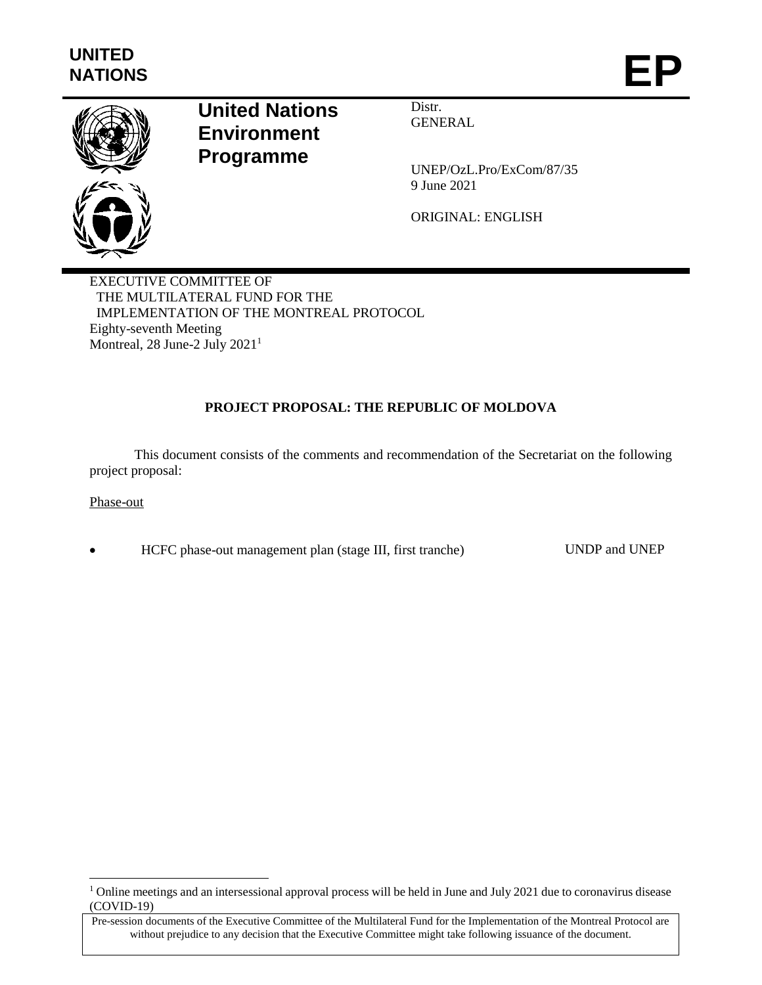

# **United Nations Environment Programme**

Distr. **GENERAL** 

UNEP/OzL.Pro/ExCom/87/35 9 June 2021

ORIGINAL: ENGLISH

EXECUTIVE COMMITTEE OF THE MULTILATERAL FUND FOR THE IMPLEMENTATION OF THE MONTREAL PROTOCOL Eighty-seventh Meeting Montreal, 28 June-2 July 2021<sup>1</sup>

# **PROJECT PROPOSAL: THE REPUBLIC OF MOLDOVA**

This document consists of the comments and recommendation of the Secretariat on the following project proposal:

#### Phase-out

 $\overline{\phantom{a}}$ 

HCFC phase-out management plan (stage III, first tranche) UNDP and UNEP

<sup>&</sup>lt;sup>1</sup> Online meetings and an intersessional approval process will be held in June and July 2021 due to coronavirus disease (COVID-19)

Pre-session documents of the Executive Committee of the Multilateral Fund for the Implementation of the Montreal Protocol are without prejudice to any decision that the Executive Committee might take following issuance of the document.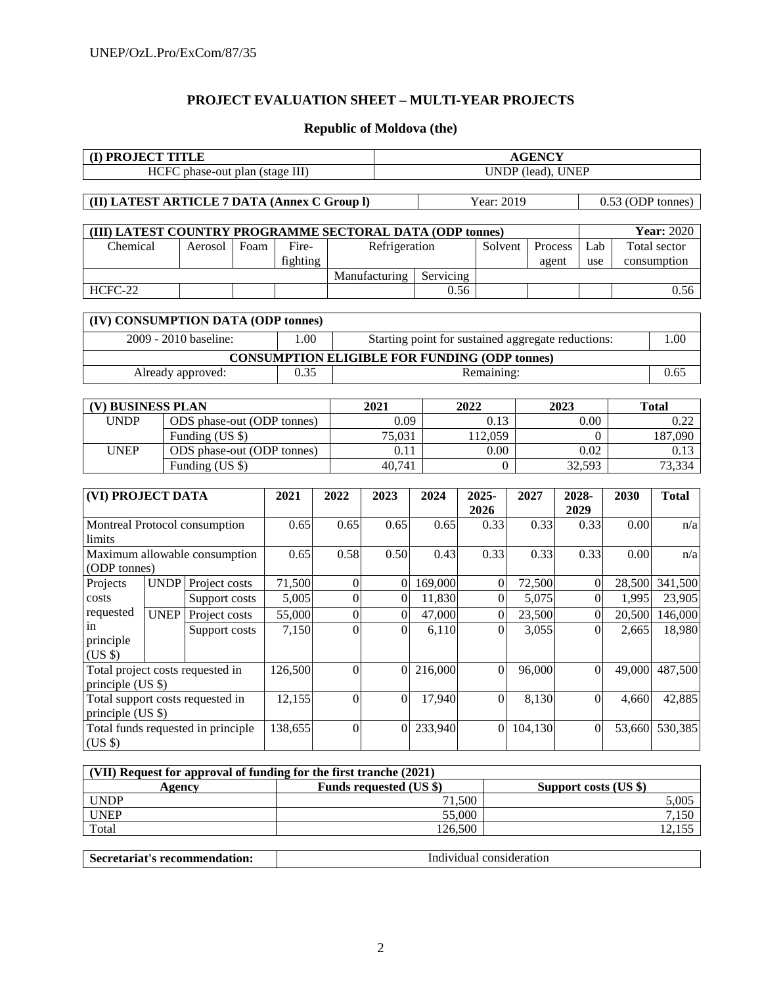## **PROJECT EVALUATION SHEET – MULTI-YEAR PROJECTS**

# **Republic of Moldova (the)**

| HCFC phase-out plan (stage III)<br>UNDP (lead), UNEP<br>Year: 2019<br>(II) LATEST ARTICLE 7 DATA (Annex C Group I)<br>0.53 (ODP tonnes)<br>(III) LATEST COUNTRY PROGRAMME SECTORAL DATA (ODP tonnes) |                   |  |
|------------------------------------------------------------------------------------------------------------------------------------------------------------------------------------------------------|-------------------|--|
|                                                                                                                                                                                                      |                   |  |
|                                                                                                                                                                                                      |                   |  |
|                                                                                                                                                                                                      |                   |  |
|                                                                                                                                                                                                      |                   |  |
|                                                                                                                                                                                                      | <b>Year: 2020</b> |  |
| Chemical<br>Fire-<br>Refrigeration<br>Foam<br>Solvent<br>Process<br>Lab<br>Aerosol                                                                                                                   | Total sector      |  |
| fighting<br>agent<br>use                                                                                                                                                                             | consumption       |  |
| Manufacturing<br>Servicing                                                                                                                                                                           |                   |  |
| HCFC-22<br>0.56                                                                                                                                                                                      | 0.56              |  |
|                                                                                                                                                                                                      |                   |  |
| (IV) CONSUMPTION DATA (ODP tonnes)                                                                                                                                                                   |                   |  |
| 2009 - 2010 baseline:<br>1.00<br>Starting point for sustained aggregate reductions:                                                                                                                  | 1.00              |  |
| <b>CONSUMPTION ELIGIBLE FOR FUNDING (ODP tonnes)</b>                                                                                                                                                 |                   |  |
| Already approved:<br>0.35<br>Remaining:                                                                                                                                                              | 0.65              |  |
|                                                                                                                                                                                                      |                   |  |
| (V) BUSINESS PLAN<br>2021<br>2022<br>2023<br><b>Total</b>                                                                                                                                            |                   |  |
| <b>UNDP</b><br>$\overline{0.13}$<br>ODS phase-out (ODP tonnes)<br>0.09<br>0.00                                                                                                                       | 0.22              |  |
| Funding (US \$)<br>75,031<br>112,059<br>$\theta$                                                                                                                                                     | 187,090           |  |
| <b>UNEP</b><br>ODS phase-out (ODP tonnes)<br>0.11<br>0.02<br>0.00                                                                                                                                    | 0.13              |  |
| 32,593<br>Funding (US \$)<br>40,741<br>$\boldsymbol{0}$                                                                                                                                              | 73,334            |  |
|                                                                                                                                                                                                      |                   |  |
| (VI) PROJECT DATA<br>2028-<br>2021<br>2022<br>2023<br>2024<br>2025-<br>2027<br>2030                                                                                                                  | <b>Total</b>      |  |
| 2026<br>2029                                                                                                                                                                                         |                   |  |
| Montreal Protocol consumption<br>0.65<br>0.65<br>0.65<br>0.65<br>0.33<br>0.33<br>0.33<br>0.00                                                                                                        | n/a               |  |
| limits                                                                                                                                                                                               |                   |  |
| Maximum allowable consumption<br>0.50<br>0.33<br>0.65<br>0.58<br>0.43<br>0.33<br>0.33<br>0.00                                                                                                        | n/a               |  |
| (ODP tonnes)                                                                                                                                                                                         |                   |  |
| <b>UNDP</b> Project costs<br>71,500<br>$\boldsymbol{0}$<br>169,000<br>72,500<br>Projects<br>$\theta$<br>$\boldsymbol{0}$<br>$\mathbf{0}$                                                             | 28,500 341,500    |  |
| $\overline{0}$<br>$\boldsymbol{0}$<br>costs<br>5,005<br>$\overline{0}$<br>11,830<br>5,075<br>$\mathbf{0}$<br>1,995<br>Support costs                                                                  | 23,905            |  |
| requested<br><b>UNEP</b><br>Project costs<br>55,000<br>$\boldsymbol{0}$<br>47,000<br>23,500<br>$\boldsymbol{0}$<br>20,500<br>$\boldsymbol{0}$<br>$\boldsymbol{0}$                                    | 146,000           |  |
| in<br>$\overline{0}$<br>$\theta$<br>7,150<br>$\theta$<br>6,110<br>3,055<br>$\boldsymbol{0}$<br>Support costs<br>2,665                                                                                | 18,980            |  |
| principle<br>(US \$)                                                                                                                                                                                 |                   |  |
| Total project costs requested in<br>216,000<br>126,500<br>$\boldsymbol{0}$<br>$\boldsymbol{0}$<br>96,000<br>$\mathbf{0}$<br>49,000<br>$\theta$                                                       | 487,500           |  |
| principle (US \$)                                                                                                                                                                                    |                   |  |
| 17,940<br>Total support costs requested in<br>12,155<br>$\boldsymbol{0}$<br>$\mathbf{0}$<br>$\boldsymbol{0}$<br>8,130<br>$\overline{0}$<br>4,660                                                     | 42,885            |  |
| principle (US \$)                                                                                                                                                                                    |                   |  |
| Total funds requested in principle<br>138,655<br>233,940<br>$\overline{0}$<br>104,130<br>$\theta$<br>$\Omega$<br>$\overline{0}$                                                                      | 53,660 530,385    |  |
| (US \$)                                                                                                                                                                                              |                   |  |
|                                                                                                                                                                                                      |                   |  |
| (VII) Request for approval of funding for the first tranche (2021)                                                                                                                                   |                   |  |
| Funds requested (US \$)<br>Support costs (US \$)<br><b>Agency</b>                                                                                                                                    |                   |  |
| <b>UNDP</b><br>71,500                                                                                                                                                                                | 5,005             |  |
| <b>UNEP</b><br>55,000                                                                                                                                                                                | 7,150             |  |
| 126,500<br>Total                                                                                                                                                                                     | 12,155            |  |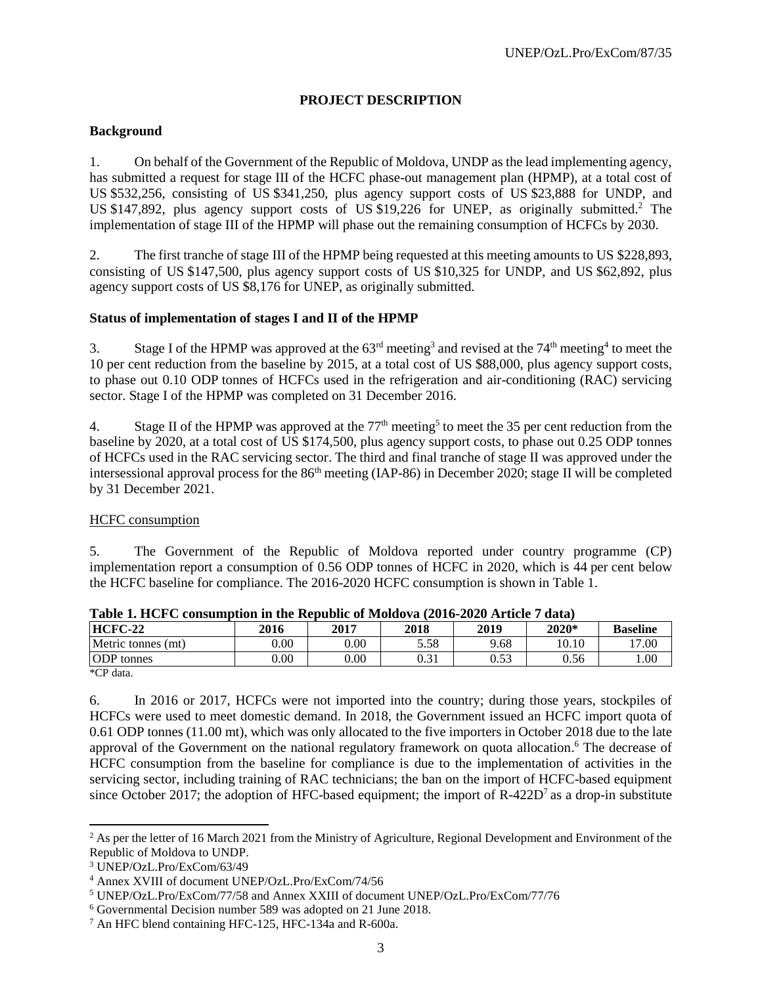# **PROJECT DESCRIPTION**

## **Background**

1. On behalf of the Government of the Republic of Moldova, UNDP as the lead implementing agency, has submitted a request for stage III of the HCFC phase-out management plan (HPMP), at a total cost of US \$532,256, consisting of US \$341,250, plus agency support costs of US \$23,888 for UNDP, and US \$147,892, plus agency support costs of US \$19,226 for UNEP, as originally submitted.<sup>2</sup> The implementation of stage III of the HPMP will phase out the remaining consumption of HCFCs by 2030.

2. The first tranche of stage III of the HPMP being requested at this meeting amounts to US \$228,893, consisting of US \$147,500, plus agency support costs of US \$10,325 for UNDP, and US \$62,892, plus agency support costs of US \$8,176 for UNEP, as originally submitted.

#### **Status of implementation of stages I and II of the HPMP**

3. Stage I of the HPMP was approved at the  $63<sup>rd</sup>$  meeting<sup>3</sup> and revised at the  $74<sup>th</sup>$  meeting<sup>4</sup> to meet the 10 per cent reduction from the baseline by 2015, at a total cost of US \$88,000, plus agency support costs, to phase out 0.10 ODP tonnes of HCFCs used in the refrigeration and air-conditioning (RAC) servicing sector. Stage I of the HPMP was completed on 31 December 2016.

4. Stage II of the HPMP was approved at the  $77<sup>th</sup>$  meeting<sup>5</sup> to meet the 35 per cent reduction from the baseline by 2020, at a total cost of US \$174,500, plus agency support costs, to phase out 0.25 ODP tonnes of HCFCs used in the RAC servicing sector. The third and final tranche of stage II was approved under the intersessional approval process for the 86<sup>th</sup> meeting (IAP-86) in December 2020; stage II will be completed by 31 December 2021.

#### HCFC consumption

5. The Government of the Republic of Moldova reported under country programme (CP) implementation report a consumption of 0.56 ODP tonnes of HCFC in 2020, which is 44 per cent below the HCFC baseline for compliance. The 2016-2020 HCFC consumption is shown in Table 1.

| AMMAY ATAA CA C WUMMMMMMMM MA WAY AWWMMMM VA HAVAMV IM THYAY HYD LAAVAY T |      |          |       |              |       |                 |
|---------------------------------------------------------------------------|------|----------|-------|--------------|-------|-----------------|
| $HCFC-22$                                                                 | 2016 | 2017     | 2018  | 2019         | 2020* | <b>Baseline</b> |
| Metric tonnes (mt)                                                        | 0.00 | $0.00\,$ | 5.58  | 9.68         | 10.10 | 17.00           |
| <b>ODP</b> tonnes                                                         | 0.00 | $0.00\,$ | U.J 1 | ሰ ደጋ<br>U.JJ | 0.56  | 00.1            |
| $1.077 \pm 1.0$                                                           |      |          |       |              |       |                 |

|  |  | Table 1. HCFC consumption in the Republic of Moldova (2016-2020 Article 7 data) |  |
|--|--|---------------------------------------------------------------------------------|--|
|  |  |                                                                                 |  |

\*CP data.

 $\overline{a}$ 

6. In 2016 or 2017, HCFCs were not imported into the country; during those years, stockpiles of HCFCs were used to meet domestic demand. In 2018, the Government issued an HCFC import quota of 0.61 ODP tonnes (11.00 mt), which was only allocated to the five importers in October 2018 due to the late approval of the Government on the national regulatory framework on quota allocation. <sup>6</sup> The decrease of HCFC consumption from the baseline for compliance is due to the implementation of activities in the servicing sector, including training of RAC technicians; the ban on the import of HCFC-based equipment since October 2017; the adoption of HFC-based equipment; the import of  $R-422D<sup>7</sup>$  as a drop-in substitute

 $2$  As per the letter of 16 March 2021 from the Ministry of Agriculture, Regional Development and Environment of the Republic of Moldova to UNDP.

<sup>3</sup> UNEP/OzL.Pro/ExCom/63/49

<sup>4</sup> Annex XVIII of document UNEP/OzL.Pro/ExCom/74/56

<sup>5</sup> UNEP/OzL.Pro/ExCom/77/58 and Annex XXIII of document UNEP/OzL.Pro/ExCom/77/76

<sup>6</sup> Governmental Decision number 589 was adopted on 21 June 2018.

<sup>7</sup> An HFC blend containing HFC-125, HFC-134a and R-600a.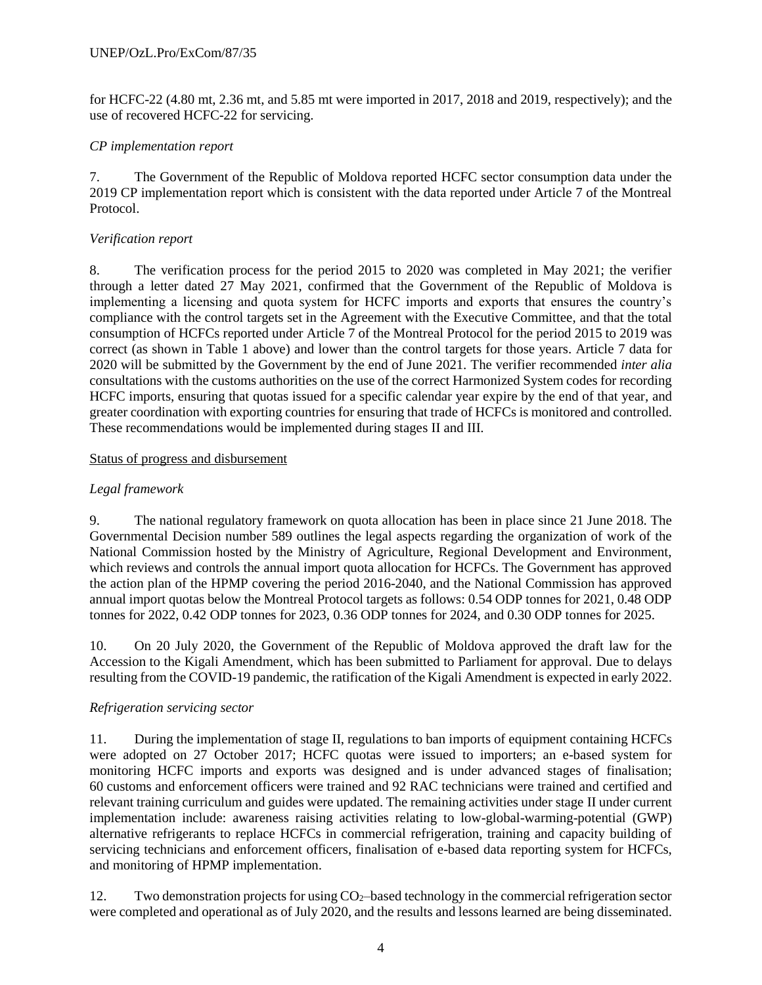for HCFC-22 (4.80 mt, 2.36 mt, and 5.85 mt were imported in 2017, 2018 and 2019, respectively); and the use of recovered HCFC-22 for servicing.

# *CP implementation report*

7. The Government of the Republic of Moldova reported HCFC sector consumption data under the 2019 CP implementation report which is consistent with the data reported under Article 7 of the Montreal Protocol.

# *Verification report*

8. The verification process for the period 2015 to 2020 was completed in May 2021; the verifier through a letter dated 27 May 2021, confirmed that the Government of the Republic of Moldova is implementing a licensing and quota system for HCFC imports and exports that ensures the country's compliance with the control targets set in the Agreement with the Executive Committee, and that the total consumption of HCFCs reported under Article 7 of the Montreal Protocol for the period 2015 to 2019 was correct (as shown in Table 1 above) and lower than the control targets for those years. Article 7 data for 2020 will be submitted by the Government by the end of June 2021. The verifier recommended *inter alia* consultations with the customs authorities on the use of the correct Harmonized System codes for recording HCFC imports, ensuring that quotas issued for a specific calendar year expire by the end of that year, and greater coordination with exporting countries for ensuring that trade of HCFCs is monitored and controlled. These recommendations would be implemented during stages II and III.

# Status of progress and disbursement

# *Legal framework*

9. The national regulatory framework on quota allocation has been in place since 21 June 2018. The Governmental Decision number 589 outlines the legal aspects regarding the organization of work of the National Commission hosted by the Ministry of Agriculture, Regional Development and Environment, which reviews and controls the annual import quota allocation for HCFCs. The Government has approved the action plan of the HPMP covering the period 2016-2040, and the National Commission has approved annual import quotas below the Montreal Protocol targets as follows: 0.54 ODP tonnes for 2021, 0.48 ODP tonnes for 2022, 0.42 ODP tonnes for 2023, 0.36 ODP tonnes for 2024, and 0.30 ODP tonnes for 2025.

10. On 20 July 2020, the Government of the Republic of Moldova approved the draft law for the Accession to the Kigali Amendment, which has been submitted to Parliament for approval. Due to delays resulting from the COVID-19 pandemic, the ratification of the Kigali Amendment is expected in early 2022.

# *Refrigeration servicing sector*

11. During the implementation of stage II, regulations to ban imports of equipment containing HCFCs were adopted on 27 October 2017; HCFC quotas were issued to importers; an e-based system for monitoring HCFC imports and exports was designed and is under advanced stages of finalisation; 60 customs and enforcement officers were trained and 92 RAC technicians were trained and certified and relevant training curriculum and guides were updated. The remaining activities under stage II under current implementation include: awareness raising activities relating to low-global-warming-potential (GWP) alternative refrigerants to replace HCFCs in commercial refrigeration, training and capacity building of servicing technicians and enforcement officers, finalisation of e-based data reporting system for HCFCs, and monitoring of HPMP implementation.

12. Two demonstration projects for using  $CO<sub>2</sub>$ -based technology in the commercial refrigeration sector were completed and operational as of July 2020, and the results and lessons learned are being disseminated.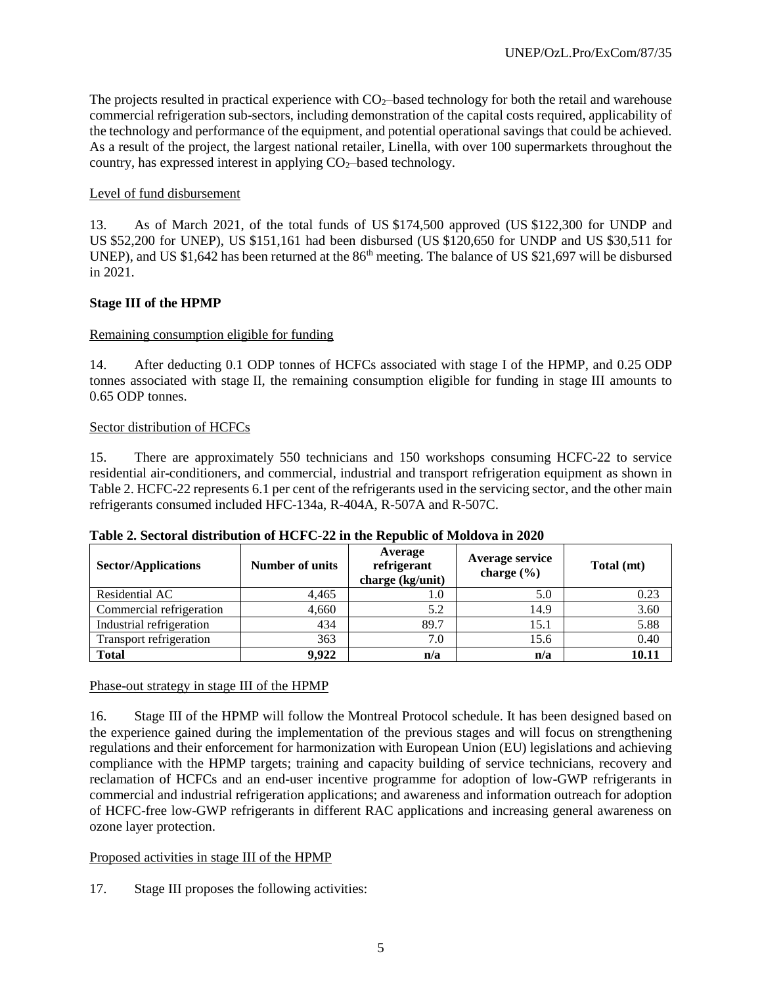The projects resulted in practical experience with  $CO<sub>2</sub>$ —based technology for both the retail and warehouse commercial refrigeration sub-sectors, including demonstration of the capital costs required, applicability of the technology and performance of the equipment, and potential operational savings that could be achieved. As a result of the project, the largest national retailer, Linella, with over 100 supermarkets throughout the country, has expressed interest in applying  $CO<sub>2</sub>$ -based technology.

## Level of fund disbursement

13. As of March 2021, of the total funds of US \$174,500 approved (US \$122,300 for UNDP and US \$52,200 for UNEP), US \$151,161 had been disbursed (US \$120,650 for UNDP and US \$30,511 for UNEP), and US \$1,642 has been returned at the 86<sup>th</sup> meeting. The balance of US \$21,697 will be disbursed in 2021.

## **Stage III of the HPMP**

## Remaining consumption eligible for funding

14. After deducting 0.1 ODP tonnes of HCFCs associated with stage I of the HPMP, and 0.25 ODP tonnes associated with stage II, the remaining consumption eligible for funding in stage III amounts to 0.65 ODP tonnes.

## Sector distribution of HCFCs

15. There are approximately 550 technicians and 150 workshops consuming HCFC-22 to service residential air-conditioners, and commercial, industrial and transport refrigeration equipment as shown in Table 2. HCFC-22 represents 6.1 per cent of the refrigerants used in the servicing sector, and the other main refrigerants consumed included HFC-134a, R-404A, R-507A and R-507C.

| <b>Sector/Applications</b> | <b>Number of units</b> | Average<br>refrigerant<br>charge (kg/unit) | Average service<br>charge $(\% )$ | Total (mt) |
|----------------------------|------------------------|--------------------------------------------|-----------------------------------|------------|
| Residential AC             | 4,465                  | 1.0                                        | 5.0                               | 0.23       |
| Commercial refrigeration   | 4,660                  | 5.2                                        | 14.9                              | 3.60       |
| Industrial refrigeration   | 434                    | 89.7                                       | 15.1                              | 5.88       |
| Transport refrigeration    | 363                    | 7.0                                        | 15.6                              | 0.40       |
| <b>Total</b>               | 9,922                  | n/a                                        | n/a                               | 10.11      |

#### **Table 2. Sectoral distribution of HCFC-22 in the Republic of Moldova in 2020**

Phase-out strategy in stage III of the HPMP

16. Stage III of the HPMP will follow the Montreal Protocol schedule. It has been designed based on the experience gained during the implementation of the previous stages and will focus on strengthening regulations and their enforcement for harmonization with European Union (EU) legislations and achieving compliance with the HPMP targets; training and capacity building of service technicians, recovery and reclamation of HCFCs and an end-user incentive programme for adoption of low-GWP refrigerants in commercial and industrial refrigeration applications; and awareness and information outreach for adoption of HCFC-free low-GWP refrigerants in different RAC applications and increasing general awareness on ozone layer protection.

#### Proposed activities in stage III of the HPMP

17. Stage III proposes the following activities: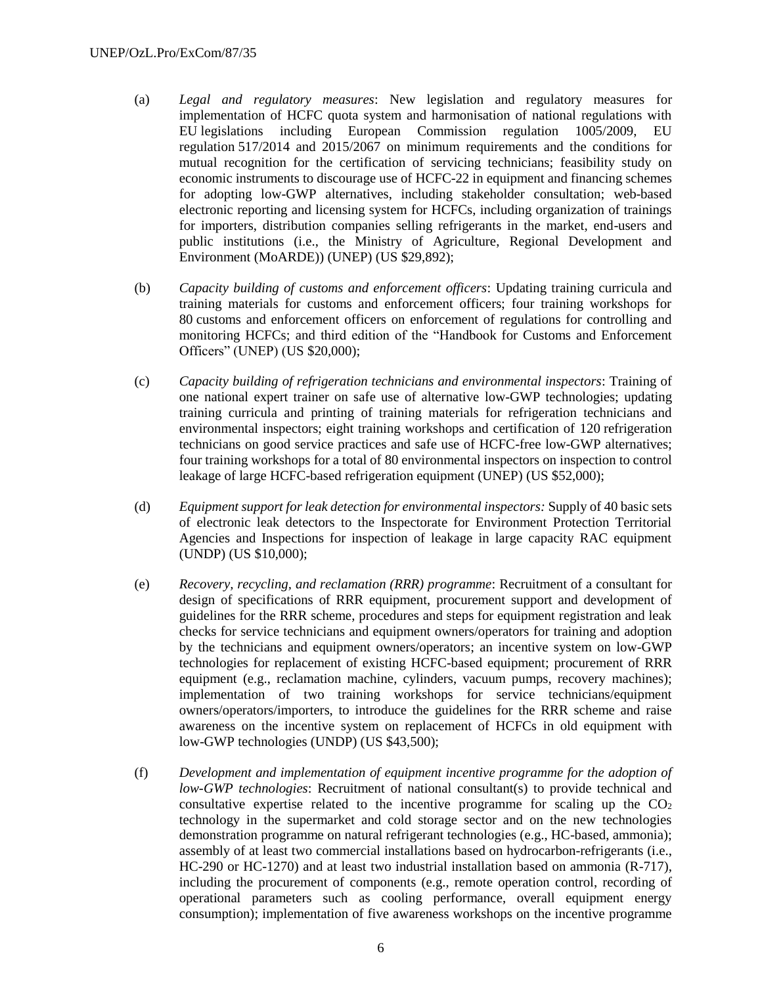- (a) *Legal and regulatory measures*: New legislation and regulatory measures for implementation of HCFC quota system and harmonisation of national regulations with EU legislations including European Commission regulation 1005/2009, EU regulation 517/2014 and 2015/2067 on minimum requirements and the conditions for mutual recognition for the certification of servicing technicians; feasibility study on economic instruments to discourage use of HCFC-22 in equipment and financing schemes for adopting low-GWP alternatives, including stakeholder consultation; web-based electronic reporting and licensing system for HCFCs, including organization of trainings for importers, distribution companies selling refrigerants in the market, end-users and public institutions (i.e., the Ministry of Agriculture, Regional Development and Environment (MoARDE)) (UNEP) (US \$29,892);
- (b) *Capacity building of customs and enforcement officers*: Updating training curricula and training materials for customs and enforcement officers; four training workshops for 80 customs and enforcement officers on enforcement of regulations for controlling and monitoring HCFCs; and third edition of the "Handbook for Customs and Enforcement Officers" (UNEP) (US \$20,000);
- (c) *Capacity building of refrigeration technicians and environmental inspectors*: Training of one national expert trainer on safe use of alternative low-GWP technologies; updating training curricula and printing of training materials for refrigeration technicians and environmental inspectors; eight training workshops and certification of 120 refrigeration technicians on good service practices and safe use of HCFC-free low-GWP alternatives; four training workshops for a total of 80 environmental inspectors on inspection to control leakage of large HCFC-based refrigeration equipment (UNEP) (US \$52,000);
- (d) *Equipment support for leak detection for environmental inspectors:* Supply of 40 basic sets of electronic leak detectors to the Inspectorate for Environment Protection Territorial Agencies and Inspections for inspection of leakage in large capacity RAC equipment (UNDP) (US \$10,000);
- (e) *Recovery, recycling, and reclamation (RRR) programme*: Recruitment of a consultant for design of specifications of RRR equipment, procurement support and development of guidelines for the RRR scheme, procedures and steps for equipment registration and leak checks for service technicians and equipment owners/operators for training and adoption by the technicians and equipment owners/operators; an incentive system on low-GWP technologies for replacement of existing HCFC-based equipment; procurement of RRR equipment (e.g., reclamation machine, cylinders, vacuum pumps, recovery machines); implementation of two training workshops for service technicians/equipment owners/operators/importers, to introduce the guidelines for the RRR scheme and raise awareness on the incentive system on replacement of HCFCs in old equipment with low-GWP technologies (UNDP) (US \$43,500);
- (f) *Development and implementation of equipment incentive programme for the adoption of low-GWP technologies*: Recruitment of national consultant(s) to provide technical and consultative expertise related to the incentive programme for scaling up the  $CO<sub>2</sub>$ technology in the supermarket and cold storage sector and on the new technologies demonstration programme on natural refrigerant technologies (e.g., HC-based, ammonia); assembly of at least two commercial installations based on hydrocarbon-refrigerants (i.e., HC-290 or HC-1270) and at least two industrial installation based on ammonia (R-717), including the procurement of components (e.g., remote operation control, recording of operational parameters such as cooling performance, overall equipment energy consumption); implementation of five awareness workshops on the incentive programme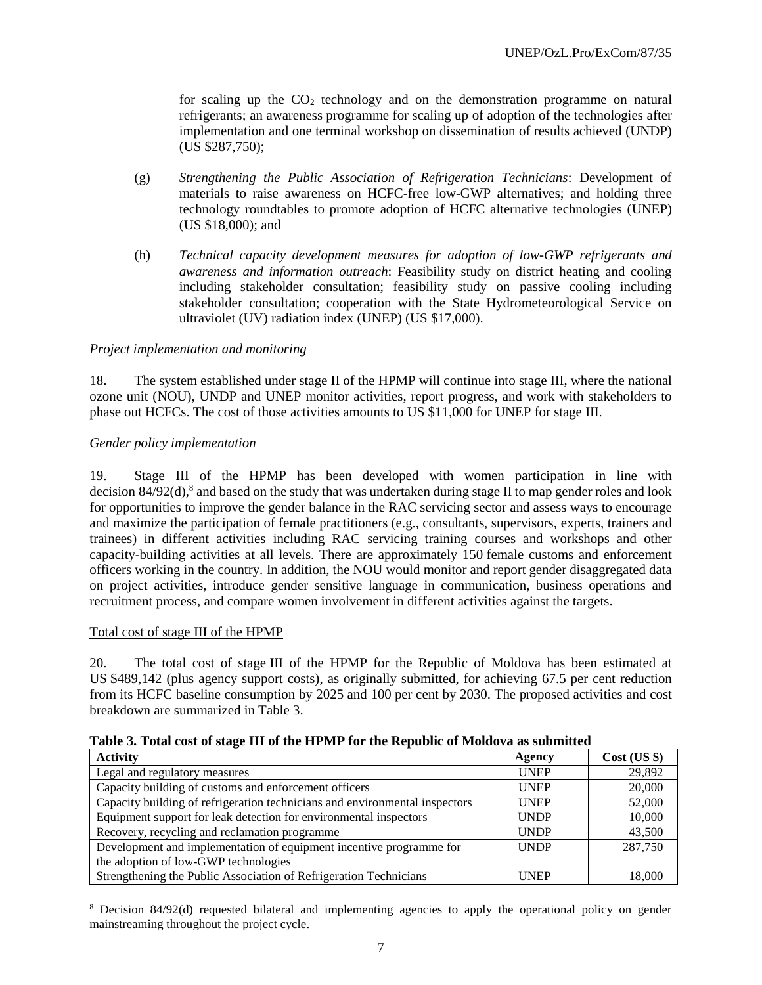for scaling up the  $CO<sub>2</sub>$  technology and on the demonstration programme on natural refrigerants; an awareness programme for scaling up of adoption of the technologies after implementation and one terminal workshop on dissemination of results achieved (UNDP) (US \$287,750);

- (g) *Strengthening the Public Association of Refrigeration Technicians*: Development of materials to raise awareness on HCFC-free low-GWP alternatives; and holding three technology roundtables to promote adoption of HCFC alternative technologies (UNEP) (US \$18,000); and
- (h) *Technical capacity development measures for adoption of low-GWP refrigerants and awareness and information outreach*: Feasibility study on district heating and cooling including stakeholder consultation; feasibility study on passive cooling including stakeholder consultation; cooperation with the State Hydrometeorological Service on ultraviolet (UV) radiation index (UNEP) (US \$17,000).

#### *Project implementation and monitoring*

18. The system established under stage II of the HPMP will continue into stage III, where the national ozone unit (NOU), UNDP and UNEP monitor activities, report progress, and work with stakeholders to phase out HCFCs. The cost of those activities amounts to US \$11,000 for UNEP for stage III.

#### *Gender policy implementation*

19. Stage III of the HPMP has been developed with women participation in line with decision 84/92(d), 8 and based on the study that was undertaken during stage II to map gender roles and look for opportunities to improve the gender balance in the RAC servicing sector and assess ways to encourage and maximize the participation of female practitioners (e.g., consultants, supervisors, experts, trainers and trainees) in different activities including RAC servicing training courses and workshops and other capacity-building activities at all levels. There are approximately 150 female customs and enforcement officers working in the country. In addition, the NOU would monitor and report gender disaggregated data on project activities, introduce gender sensitive language in communication, business operations and recruitment process, and compare women involvement in different activities against the targets.

#### Total cost of stage III of the HPMP

 $\overline{\phantom{a}}$ 

20. The total cost of stage III of the HPMP for the Republic of Moldova has been estimated at US \$489,142 (plus agency support costs), as originally submitted, for achieving 67.5 per cent reduction from its HCFC baseline consumption by 2025 and 100 per cent by 2030. The proposed activities and cost breakdown are summarized in Table 3.

| Table of Total Cost of stage 111 of the 111 mil. for the Itepablic of mondo (a submitted |             |              |  |  |  |  |  |  |
|------------------------------------------------------------------------------------------|-------------|--------------|--|--|--|--|--|--|
| <b>Activity</b>                                                                          | Agency      | Cost (US \$) |  |  |  |  |  |  |
| Legal and regulatory measures                                                            | <b>UNEP</b> | 29,892       |  |  |  |  |  |  |
| Capacity building of customs and enforcement officers                                    | <b>UNEP</b> | 20,000       |  |  |  |  |  |  |
| Capacity building of refrigeration technicians and environmental inspectors              | <b>UNEP</b> | 52,000       |  |  |  |  |  |  |
| Equipment support for leak detection for environmental inspectors                        | <b>UNDP</b> | 10,000       |  |  |  |  |  |  |
| Recovery, recycling and reclamation programme                                            | <b>UNDP</b> | 43,500       |  |  |  |  |  |  |
| Development and implementation of equipment incentive programme for                      | <b>UNDP</b> | 287,750      |  |  |  |  |  |  |
| the adoption of low-GWP technologies                                                     |             |              |  |  |  |  |  |  |
| Strengthening the Public Association of Refrigeration Technicians                        | <b>UNEP</b> | 18.000       |  |  |  |  |  |  |

**Table 3. Total cost of stage III of the HPMP for the Republic of Moldova as submitted**

<sup>&</sup>lt;sup>8</sup> Decision 84/92(d) requested bilateral and implementing agencies to apply the operational policy on gender mainstreaming throughout the project cycle.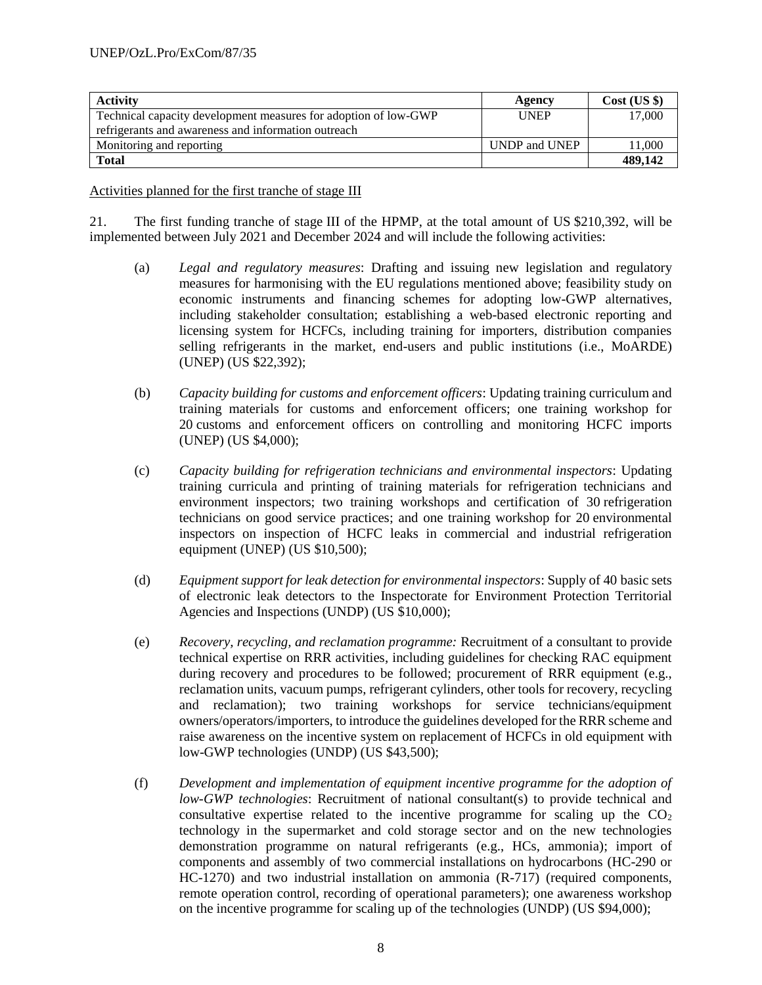| <b>Activity</b>                                                 | Agency        | Cost (US \$) |
|-----------------------------------------------------------------|---------------|--------------|
| Technical capacity development measures for adoption of low-GWP | <b>UNEP</b>   | 17,000       |
| refrigerants and awareness and information outreach             |               |              |
| Monitoring and reporting                                        | UNDP and UNEP | 11.000       |
| <b>Total</b>                                                    |               | 489,142      |

Activities planned for the first tranche of stage III

21. The first funding tranche of stage III of the HPMP, at the total amount of US \$210,392, will be implemented between July 2021 and December 2024 and will include the following activities:

- (a) *Legal and regulatory measures*: Drafting and issuing new legislation and regulatory measures for harmonising with the EU regulations mentioned above; feasibility study on economic instruments and financing schemes for adopting low-GWP alternatives, including stakeholder consultation; establishing a web-based electronic reporting and licensing system for HCFCs, including training for importers, distribution companies selling refrigerants in the market, end-users and public institutions (i.e., MoARDE) (UNEP) (US \$22,392);
- (b) *Capacity building for customs and enforcement officers*: Updating training curriculum and training materials for customs and enforcement officers; one training workshop for 20 customs and enforcement officers on controlling and monitoring HCFC imports (UNEP) (US \$4,000);
- (c) *Capacity building for refrigeration technicians and environmental inspectors*: Updating training curricula and printing of training materials for refrigeration technicians and environment inspectors; two training workshops and certification of 30 refrigeration technicians on good service practices; and one training workshop for 20 environmental inspectors on inspection of HCFC leaks in commercial and industrial refrigeration equipment (UNEP) (US \$10,500);
- (d) *Equipment support for leak detection for environmental inspectors*: Supply of 40 basic sets of electronic leak detectors to the Inspectorate for Environment Protection Territorial Agencies and Inspections (UNDP) (US \$10,000);
- (e) *Recovery, recycling, and reclamation programme:* Recruitment of a consultant to provide technical expertise on RRR activities, including guidelines for checking RAC equipment during recovery and procedures to be followed; procurement of RRR equipment (e.g., reclamation units, vacuum pumps, refrigerant cylinders, other tools for recovery, recycling and reclamation); two training workshops for service technicians/equipment owners/operators/importers, to introduce the guidelines developed for the RRR scheme and raise awareness on the incentive system on replacement of HCFCs in old equipment with low-GWP technologies (UNDP) (US \$43,500);
- (f) *Development and implementation of equipment incentive programme for the adoption of low-GWP technologies*: Recruitment of national consultant(s) to provide technical and consultative expertise related to the incentive programme for scaling up the  $CO<sub>2</sub>$ technology in the supermarket and cold storage sector and on the new technologies demonstration programme on natural refrigerants (e.g., HCs, ammonia); import of components and assembly of two commercial installations on hydrocarbons (HC-290 or HC-1270) and two industrial installation on ammonia (R-717) (required components, remote operation control, recording of operational parameters); one awareness workshop on the incentive programme for scaling up of the technologies (UNDP) (US \$94,000);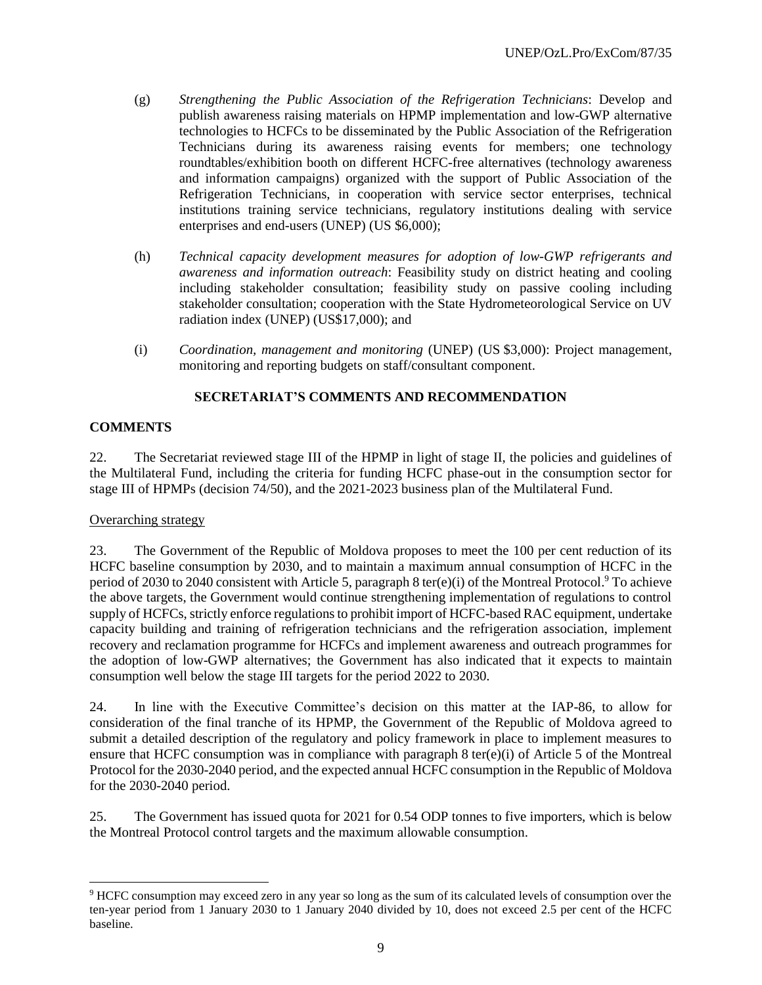- (g) *Strengthening the Public Association of the Refrigeration Technicians*: Develop and publish awareness raising materials on HPMP implementation and low-GWP alternative technologies to HCFCs to be disseminated by the Public Association of the Refrigeration Technicians during its awareness raising events for members; one technology roundtables/exhibition booth on different HCFC-free alternatives (technology awareness and information campaigns) organized with the support of Public Association of the Refrigeration Technicians, in cooperation with service sector enterprises, technical institutions training service technicians, regulatory institutions dealing with service enterprises and end-users (UNEP) (US \$6,000);
- (h) *Technical capacity development measures for adoption of low-GWP refrigerants and awareness and information outreach*: Feasibility study on district heating and cooling including stakeholder consultation; feasibility study on passive cooling including stakeholder consultation; cooperation with the State Hydrometeorological Service on UV radiation index (UNEP) (US\$17,000); and
- (i) *Coordination, management and monitoring* (UNEP) (US \$3,000): Project management, monitoring and reporting budgets on staff/consultant component.

# **SECRETARIAT'S COMMENTS AND RECOMMENDATION**

# **COMMENTS**

22. The Secretariat reviewed stage III of the HPMP in light of stage II, the policies and guidelines of the Multilateral Fund, including the criteria for funding HCFC phase-out in the consumption sector for stage III of HPMPs (decision 74/50), and the 2021-2023 business plan of the Multilateral Fund.

## Overarching strategy

l

23. The Government of the Republic of Moldova proposes to meet the 100 per cent reduction of its HCFC baseline consumption by 2030, and to maintain a maximum annual consumption of HCFC in the period of 2030 to 2040 consistent with Article 5, paragraph 8 ter(e)(i) of the Montreal Protocol.<sup>9</sup> To achieve the above targets, the Government would continue strengthening implementation of regulations to control supply of HCFCs, strictly enforce regulations to prohibit import of HCFC-based RAC equipment, undertake capacity building and training of refrigeration technicians and the refrigeration association, implement recovery and reclamation programme for HCFCs and implement awareness and outreach programmes for the adoption of low-GWP alternatives; the Government has also indicated that it expects to maintain consumption well below the stage III targets for the period 2022 to 2030.

24. In line with the Executive Committee's decision on this matter at the IAP-86, to allow for consideration of the final tranche of its HPMP, the Government of the Republic of Moldova agreed to submit a detailed description of the regulatory and policy framework in place to implement measures to ensure that HCFC consumption was in compliance with paragraph 8 ter(e)(i) of Article 5 of the Montreal Protocol for the 2030-2040 period, and the expected annual HCFC consumption in the Republic of Moldova for the 2030-2040 period.

25. The Government has issued quota for 2021 for 0.54 ODP tonnes to five importers, which is below the Montreal Protocol control targets and the maximum allowable consumption.

<sup>9</sup> HCFC consumption may exceed zero in any year so long as the sum of its calculated levels of consumption over the ten-year period from 1 January 2030 to 1 January 2040 divided by 10, does not exceed 2.5 per cent of the HCFC baseline.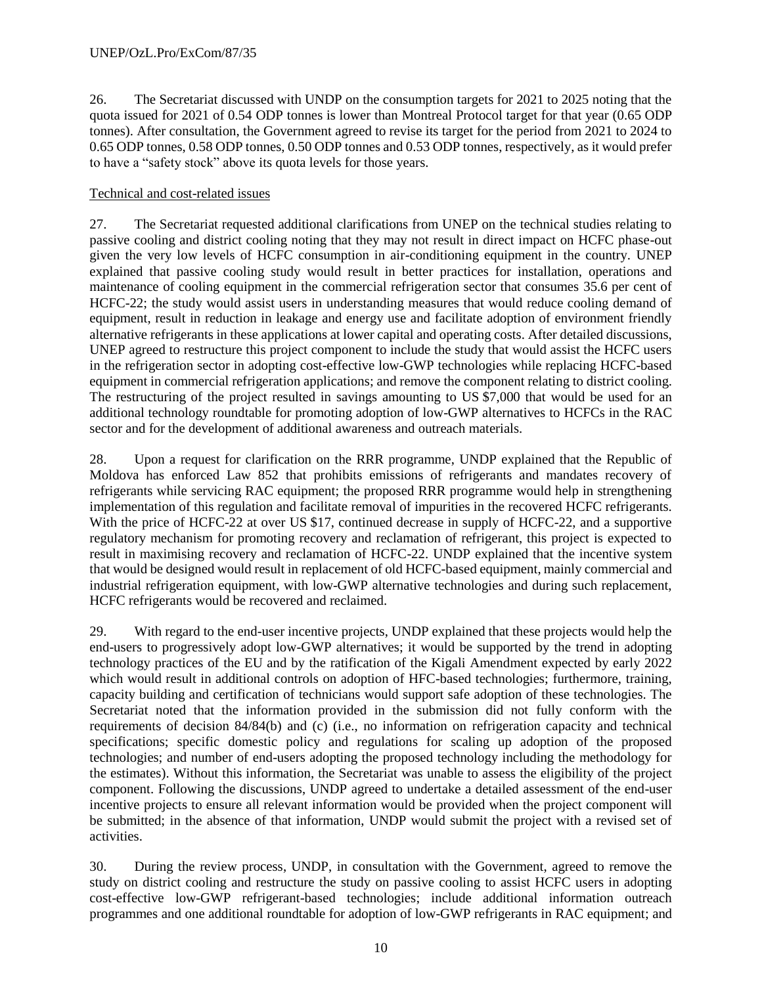26. The Secretariat discussed with UNDP on the consumption targets for 2021 to 2025 noting that the quota issued for 2021 of 0.54 ODP tonnes is lower than Montreal Protocol target for that year (0.65 ODP tonnes). After consultation, the Government agreed to revise its target for the period from 2021 to 2024 to 0.65 ODP tonnes, 0.58 ODP tonnes, 0.50 ODP tonnes and 0.53 ODP tonnes, respectively, as it would prefer to have a "safety stock" above its quota levels for those years.

## Technical and cost-related issues

27. The Secretariat requested additional clarifications from UNEP on the technical studies relating to passive cooling and district cooling noting that they may not result in direct impact on HCFC phase-out given the very low levels of HCFC consumption in air-conditioning equipment in the country. UNEP explained that passive cooling study would result in better practices for installation, operations and maintenance of cooling equipment in the commercial refrigeration sector that consumes 35.6 per cent of HCFC-22; the study would assist users in understanding measures that would reduce cooling demand of equipment, result in reduction in leakage and energy use and facilitate adoption of environment friendly alternative refrigerants in these applications at lower capital and operating costs. After detailed discussions, UNEP agreed to restructure this project component to include the study that would assist the HCFC users in the refrigeration sector in adopting cost-effective low-GWP technologies while replacing HCFC-based equipment in commercial refrigeration applications; and remove the component relating to district cooling. The restructuring of the project resulted in savings amounting to US \$7,000 that would be used for an additional technology roundtable for promoting adoption of low-GWP alternatives to HCFCs in the RAC sector and for the development of additional awareness and outreach materials.

28. Upon a request for clarification on the RRR programme, UNDP explained that the Republic of Moldova has enforced Law 852 that prohibits emissions of refrigerants and mandates recovery of refrigerants while servicing RAC equipment; the proposed RRR programme would help in strengthening implementation of this regulation and facilitate removal of impurities in the recovered HCFC refrigerants. With the price of HCFC-22 at over US \$17, continued decrease in supply of HCFC-22, and a supportive regulatory mechanism for promoting recovery and reclamation of refrigerant, this project is expected to result in maximising recovery and reclamation of HCFC-22. UNDP explained that the incentive system that would be designed would result in replacement of old HCFC-based equipment, mainly commercial and industrial refrigeration equipment, with low-GWP alternative technologies and during such replacement, HCFC refrigerants would be recovered and reclaimed.

29. With regard to the end-user incentive projects, UNDP explained that these projects would help the end-users to progressively adopt low-GWP alternatives; it would be supported by the trend in adopting technology practices of the EU and by the ratification of the Kigali Amendment expected by early 2022 which would result in additional controls on adoption of HFC-based technologies; furthermore, training, capacity building and certification of technicians would support safe adoption of these technologies. The Secretariat noted that the information provided in the submission did not fully conform with the requirements of decision 84/84(b) and (c) (i.e., no information on refrigeration capacity and technical specifications; specific domestic policy and regulations for scaling up adoption of the proposed technologies; and number of end-users adopting the proposed technology including the methodology for the estimates). Without this information, the Secretariat was unable to assess the eligibility of the project component. Following the discussions, UNDP agreed to undertake a detailed assessment of the end-user incentive projects to ensure all relevant information would be provided when the project component will be submitted; in the absence of that information, UNDP would submit the project with a revised set of activities.

30. During the review process, UNDP, in consultation with the Government, agreed to remove the study on district cooling and restructure the study on passive cooling to assist HCFC users in adopting cost-effective low-GWP refrigerant-based technologies; include additional information outreach programmes and one additional roundtable for adoption of low-GWP refrigerants in RAC equipment; and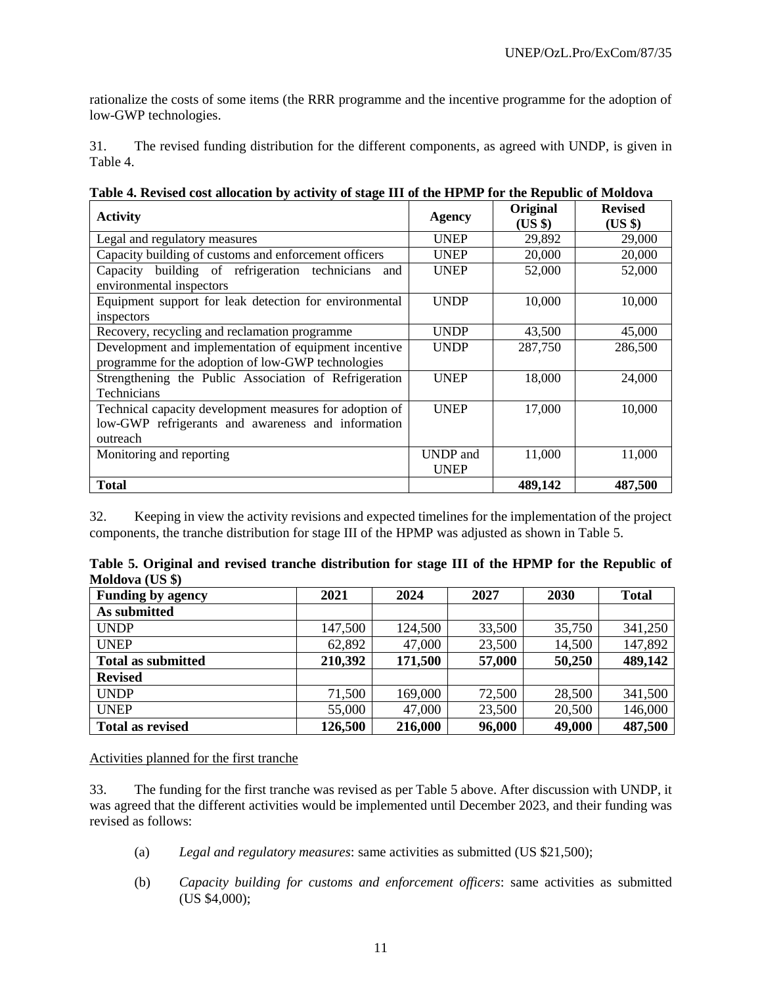rationalize the costs of some items (the RRR programme and the incentive programme for the adoption of low-GWP technologies.

31. The revised funding distribution for the different components, as agreed with UNDP, is given in Table 4.

| <b>Activity</b>                                          | <b>Agency</b>   | Original<br>$(US \$ | <b>Revised</b><br>(US \$) |
|----------------------------------------------------------|-----------------|---------------------|---------------------------|
| Legal and regulatory measures                            | <b>UNEP</b>     | 29,892              | 29,000                    |
| Capacity building of customs and enforcement officers    | <b>UNEP</b>     | 20,000              | 20,000                    |
| building of refrigeration technicians<br>Capacity<br>and | <b>UNEP</b>     | 52,000              | 52,000                    |
| environmental inspectors                                 |                 |                     |                           |
| Equipment support for leak detection for environmental   | <b>UNDP</b>     | 10,000              | 10,000                    |
| inspectors                                               |                 |                     |                           |
| Recovery, recycling and reclamation programme            | <b>UNDP</b>     | 43,500              | 45,000                    |
| Development and implementation of equipment incentive    | <b>UNDP</b>     | 287,750             | 286,500                   |
| programme for the adoption of low-GWP technologies       |                 |                     |                           |
| Strengthening the Public Association of Refrigeration    | <b>UNEP</b>     | 18,000              | 24,000                    |
| Technicians                                              |                 |                     |                           |
| Technical capacity development measures for adoption of  | <b>UNEP</b>     | 17,000              | 10,000                    |
| low-GWP refrigerants and awareness and information       |                 |                     |                           |
| outreach                                                 |                 |                     |                           |
| Monitoring and reporting                                 | <b>UNDP</b> and | 11,000              | 11,000                    |
|                                                          | <b>UNEP</b>     |                     |                           |
| <b>Total</b>                                             |                 | 489,142             | 487,500                   |

**Table 4. Revised cost allocation by activity of stage III of the HPMP for the Republic of Moldova**

32. Keeping in view the activity revisions and expected timelines for the implementation of the project components, the tranche distribution for stage III of the HPMP was adjusted as shown in Table 5.

|                 |  |  | Table 5. Original and revised tranche distribution for stage III of the HPMP for the Republic of |  |  |  |  |  |
|-----------------|--|--|--------------------------------------------------------------------------------------------------|--|--|--|--|--|
| Moldova (US \$) |  |  |                                                                                                  |  |  |  |  |  |

| <b>Funding by agency</b>  | 2021    | 2024    | 2027   | 2030   | <b>Total</b> |
|---------------------------|---------|---------|--------|--------|--------------|
| As submitted              |         |         |        |        |              |
| <b>UNDP</b>               | 147,500 | 124,500 | 33,500 | 35,750 | 341,250      |
| <b>UNEP</b>               | 62,892  | 47,000  | 23,500 | 14,500 | 147,892      |
| <b>Total as submitted</b> | 210,392 | 171,500 | 57,000 | 50,250 | 489,142      |
| <b>Revised</b>            |         |         |        |        |              |
| <b>UNDP</b>               | 71,500  | 169,000 | 72,500 | 28,500 | 341,500      |
| <b>UNEP</b>               | 55,000  | 47,000  | 23,500 | 20,500 | 146,000      |
| <b>Total as revised</b>   | 126,500 | 216,000 | 96,000 | 49,000 | 487,500      |

Activities planned for the first tranche

33. The funding for the first tranche was revised as per Table 5 above. After discussion with UNDP, it was agreed that the different activities would be implemented until December 2023, and their funding was revised as follows:

- (a) *Legal and regulatory measures*: same activities as submitted (US \$21,500);
- (b) *Capacity building for customs and enforcement officers*: same activities as submitted (US \$4,000);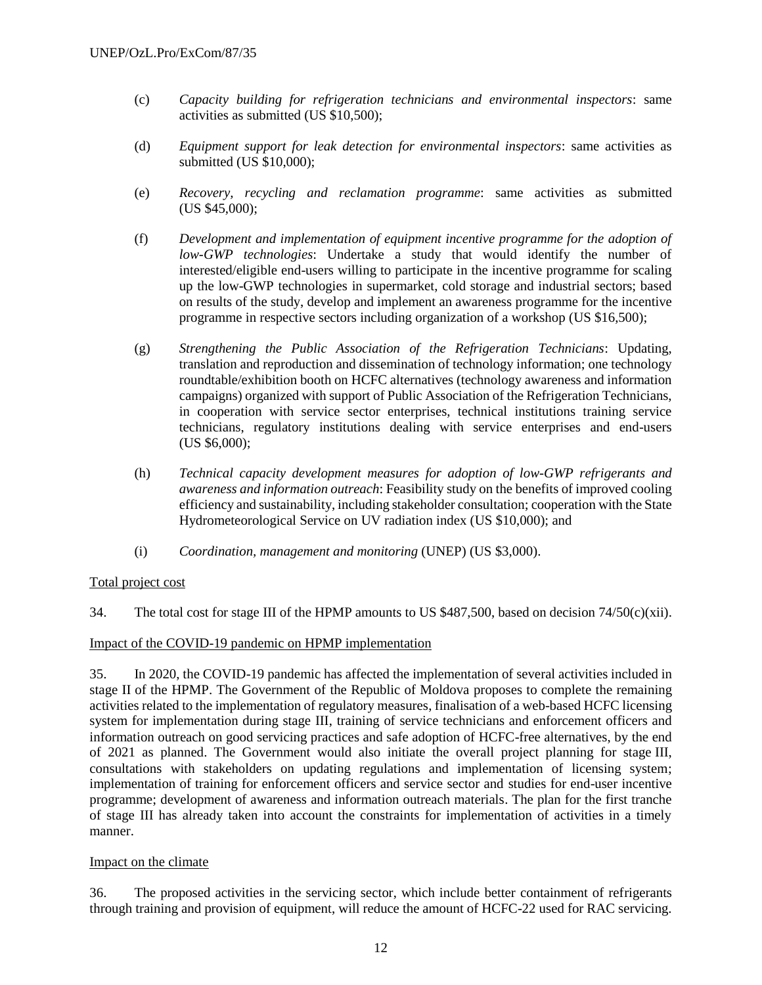- (c) *Capacity building for refrigeration technicians and environmental inspectors*: same activities as submitted (US \$10,500);
- (d) *Equipment support for leak detection for environmental inspectors*: same activities as submitted (US \$10,000);
- (e) *Recovery, recycling and reclamation programme*: same activities as submitted (US \$45,000);
- (f) *Development and implementation of equipment incentive programme for the adoption of low-GWP technologies*: Undertake a study that would identify the number of interested/eligible end-users willing to participate in the incentive programme for scaling up the low-GWP technologies in supermarket, cold storage and industrial sectors; based on results of the study, develop and implement an awareness programme for the incentive programme in respective sectors including organization of a workshop (US \$16,500);
- (g) *Strengthening the Public Association of the Refrigeration Technicians*: Updating, translation and reproduction and dissemination of technology information; one technology roundtable/exhibition booth on HCFC alternatives (technology awareness and information campaigns) organized with support of Public Association of the Refrigeration Technicians, in cooperation with service sector enterprises, technical institutions training service technicians, regulatory institutions dealing with service enterprises and end-users (US \$6,000);
- (h) *Technical capacity development measures for adoption of low-GWP refrigerants and awareness and information outreach*: Feasibility study on the benefits of improved cooling efficiency and sustainability, including stakeholder consultation; cooperation with the State Hydrometeorological Service on UV radiation index (US \$10,000); and
- (i) *Coordination, management and monitoring* (UNEP) (US \$3,000).

#### Total project cost

34. The total cost for stage III of the HPMP amounts to US \$487,500, based on decision 74/50(c)(xii).

#### Impact of the COVID-19 pandemic on HPMP implementation

35. In 2020, the COVID-19 pandemic has affected the implementation of several activities included in stage II of the HPMP. The Government of the Republic of Moldova proposes to complete the remaining activities related to the implementation of regulatory measures, finalisation of a web-based HCFC licensing system for implementation during stage III, training of service technicians and enforcement officers and information outreach on good servicing practices and safe adoption of HCFC-free alternatives, by the end of 2021 as planned. The Government would also initiate the overall project planning for stage III, consultations with stakeholders on updating regulations and implementation of licensing system; implementation of training for enforcement officers and service sector and studies for end-user incentive programme; development of awareness and information outreach materials. The plan for the first tranche of stage III has already taken into account the constraints for implementation of activities in a timely manner.

#### Impact on the climate

36. The proposed activities in the servicing sector, which include better containment of refrigerants through training and provision of equipment, will reduce the amount of HCFC-22 used for RAC servicing.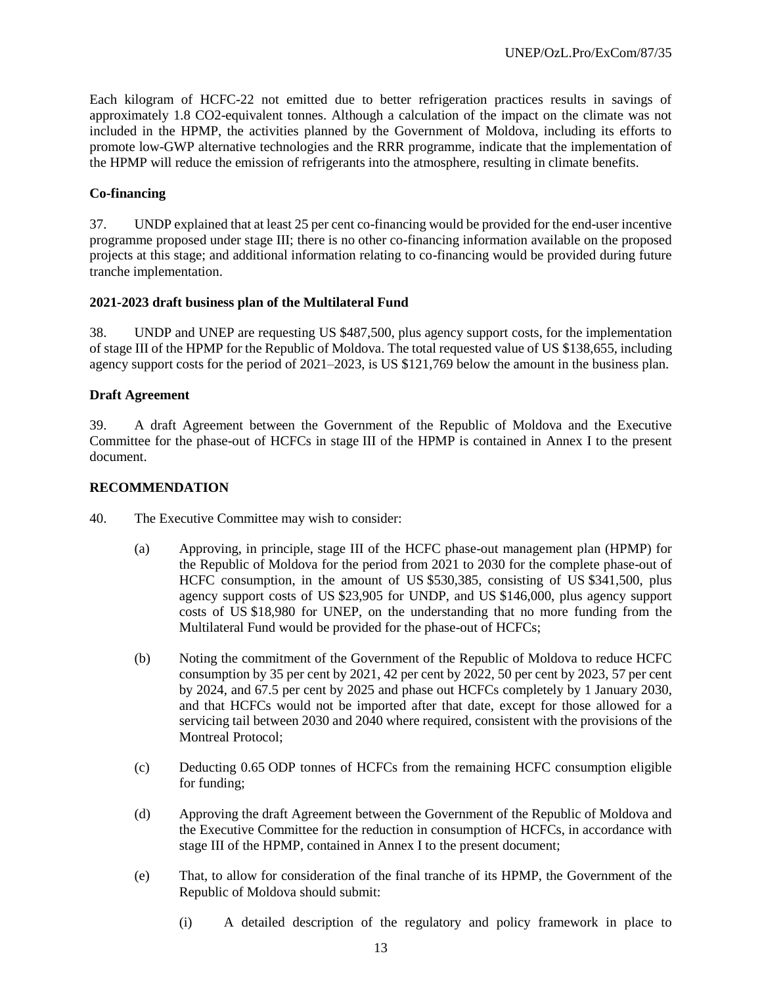Each kilogram of HCFC-22 not emitted due to better refrigeration practices results in savings of approximately 1.8 CO2-equivalent tonnes. Although a calculation of the impact on the climate was not included in the HPMP, the activities planned by the Government of Moldova, including its efforts to promote low-GWP alternative technologies and the RRR programme, indicate that the implementation of the HPMP will reduce the emission of refrigerants into the atmosphere, resulting in climate benefits.

## **Co-financing**

37. UNDP explained that at least 25 per cent co-financing would be provided for the end-user incentive programme proposed under stage III; there is no other co-financing information available on the proposed projects at this stage; and additional information relating to co-financing would be provided during future tranche implementation.

#### **2021-2023 draft business plan of the Multilateral Fund**

38. UNDP and UNEP are requesting US \$487,500, plus agency support costs, for the implementation of stage III of the HPMP for the Republic of Moldova. The total requested value of US \$138,655, including agency support costs for the period of 2021–2023, is US \$121,769 below the amount in the business plan.

#### **Draft Agreement**

39. A draft Agreement between the Government of the Republic of Moldova and the Executive Committee for the phase-out of HCFCs in stage III of the HPMP is contained in Annex I to the present document.

#### **RECOMMENDATION**

- 40. The Executive Committee may wish to consider:
	- (a) Approving, in principle, stage III of the HCFC phase-out management plan (HPMP) for the Republic of Moldova for the period from 2021 to 2030 for the complete phase-out of HCFC consumption, in the amount of US \$530,385, consisting of US \$341,500, plus agency support costs of US \$23,905 for UNDP, and US \$146,000, plus agency support costs of US \$18,980 for UNEP, on the understanding that no more funding from the Multilateral Fund would be provided for the phase-out of HCFCs;
	- (b) Noting the commitment of the Government of the Republic of Moldova to reduce HCFC consumption by 35 per cent by 2021, 42 per cent by 2022, 50 per cent by 2023, 57 per cent by 2024, and 67.5 per cent by 2025 and phase out HCFCs completely by 1 January 2030, and that HCFCs would not be imported after that date, except for those allowed for a servicing tail between 2030 and 2040 where required, consistent with the provisions of the Montreal Protocol;
	- (c) Deducting 0.65 ODP tonnes of HCFCs from the remaining HCFC consumption eligible for funding;
	- (d) Approving the draft Agreement between the Government of the Republic of Moldova and the Executive Committee for the reduction in consumption of HCFCs, in accordance with stage III of the HPMP, contained in Annex I to the present document;
	- (e) That, to allow for consideration of the final tranche of its HPMP, the Government of the Republic of Moldova should submit:
		- (i) A detailed description of the regulatory and policy framework in place to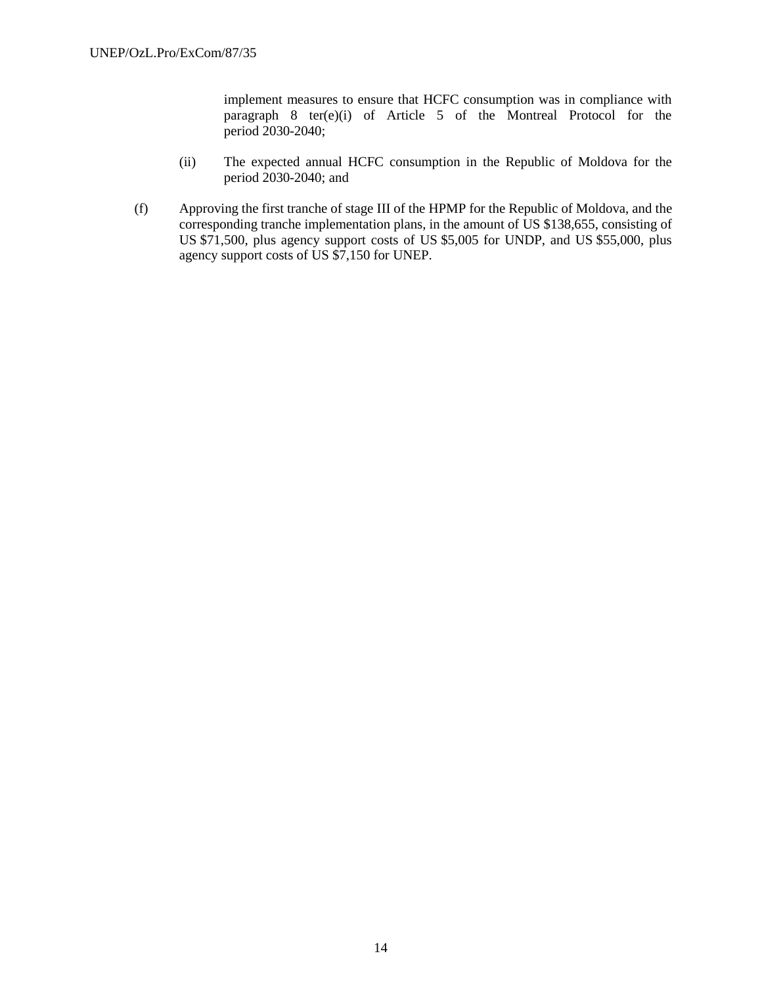implement measures to ensure that HCFC consumption was in compliance with paragraph 8 ter(e)(i) of Article 5 of the Montreal Protocol for the period 2030-2040;

- (ii) The expected annual HCFC consumption in the Republic of Moldova for the period 2030-2040; and
- (f) Approving the first tranche of stage III of the HPMP for the Republic of Moldova, and the corresponding tranche implementation plans, in the amount of US \$138,655, consisting of US \$71,500, plus agency support costs of US \$5,005 for UNDP, and US \$55,000, plus agency support costs of US \$7,150 for UNEP.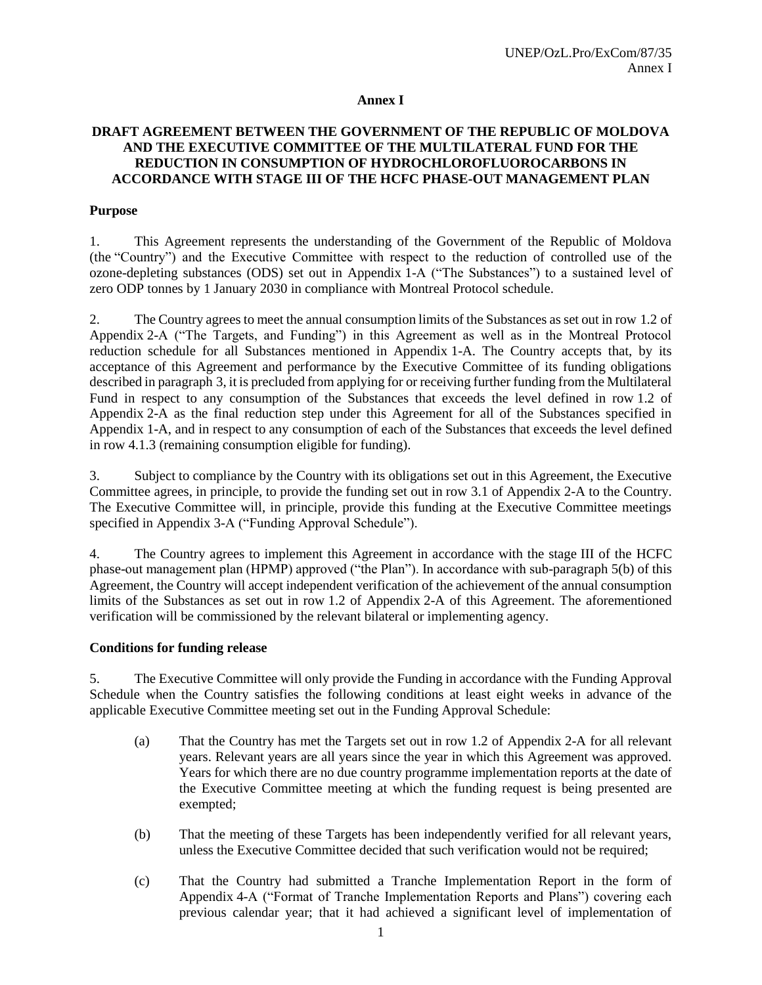#### **Annex I**

### **DRAFT AGREEMENT BETWEEN THE GOVERNMENT OF THE REPUBLIC OF MOLDOVA AND THE EXECUTIVE COMMITTEE OF THE MULTILATERAL FUND FOR THE REDUCTION IN CONSUMPTION OF HYDROCHLOROFLUOROCARBONS IN ACCORDANCE WITH STAGE III OF THE HCFC PHASE-OUT MANAGEMENT PLAN**

#### **Purpose**

1. This Agreement represents the understanding of the Government of the Republic of Moldova (the "Country") and the Executive Committee with respect to the reduction of controlled use of the ozone-depleting substances (ODS) set out in Appendix 1-A ("The Substances") to a sustained level of zero ODP tonnes by 1 January 2030 in compliance with Montreal Protocol schedule.

2. The Country agrees to meet the annual consumption limits of the Substances as set out in row 1.2 of Appendix 2-A ("The Targets, and Funding") in this Agreement as well as in the Montreal Protocol reduction schedule for all Substances mentioned in Appendix 1-A. The Country accepts that, by its acceptance of this Agreement and performance by the Executive Committee of its funding obligations described in paragraph 3, it is precluded from applying for or receiving further funding from the Multilateral Fund in respect to any consumption of the Substances that exceeds the level defined in row 1.2 of Appendix 2-A as the final reduction step under this Agreement for all of the Substances specified in Appendix 1-A, and in respect to any consumption of each of the Substances that exceeds the level defined in row 4.1.3 (remaining consumption eligible for funding).

3. Subject to compliance by the Country with its obligations set out in this Agreement, the Executive Committee agrees, in principle, to provide the funding set out in row 3.1 of Appendix 2-A to the Country. The Executive Committee will, in principle, provide this funding at the Executive Committee meetings specified in Appendix 3-A ("Funding Approval Schedule").

4. The Country agrees to implement this Agreement in accordance with the stage III of the HCFC phase-out management plan (HPMP) approved ("the Plan"). In accordance with sub-paragraph 5(b) of this Agreement, the Country will accept independent verification of the achievement of the annual consumption limits of the Substances as set out in row 1.2 of Appendix 2-A of this Agreement. The aforementioned verification will be commissioned by the relevant bilateral or implementing agency.

#### **Conditions for funding release**

5. The Executive Committee will only provide the Funding in accordance with the Funding Approval Schedule when the Country satisfies the following conditions at least eight weeks in advance of the applicable Executive Committee meeting set out in the Funding Approval Schedule:

- (a) That the Country has met the Targets set out in row 1.2 of Appendix 2-A for all relevant years. Relevant years are all years since the year in which this Agreement was approved. Years for which there are no due country programme implementation reports at the date of the Executive Committee meeting at which the funding request is being presented are exempted;
- (b) That the meeting of these Targets has been independently verified for all relevant years, unless the Executive Committee decided that such verification would not be required;
- (c) That the Country had submitted a Tranche Implementation Report in the form of Appendix 4-A ("Format of Tranche Implementation Reports and Plans") covering each previous calendar year; that it had achieved a significant level of implementation of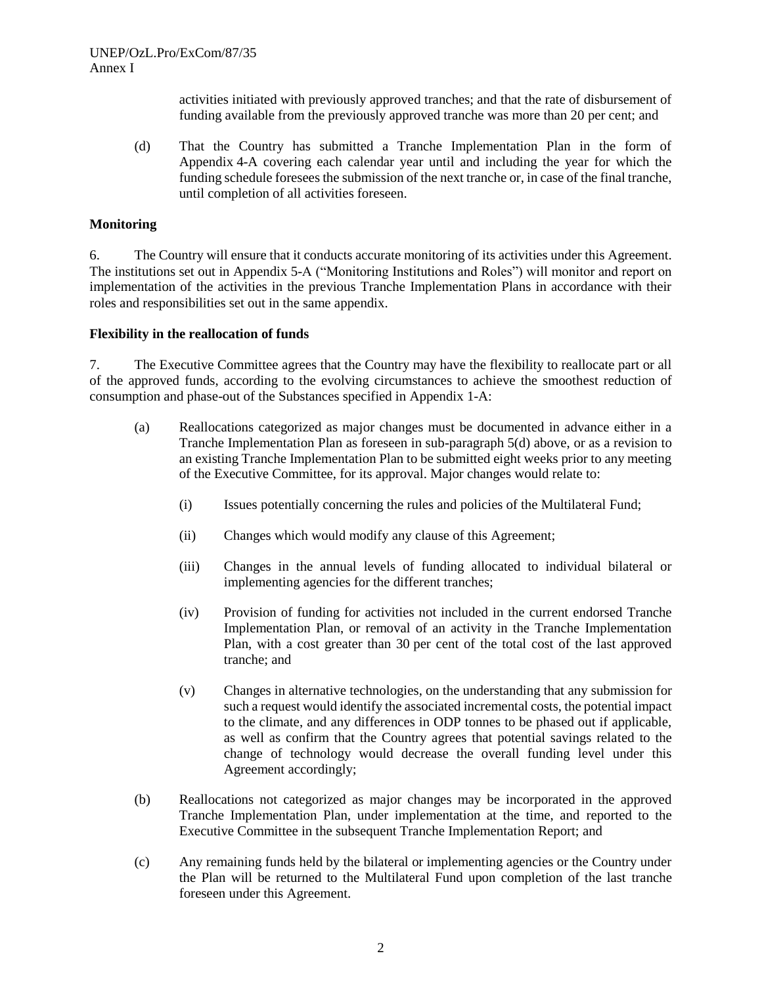activities initiated with previously approved tranches; and that the rate of disbursement of funding available from the previously approved tranche was more than 20 per cent; and

(d) That the Country has submitted a Tranche Implementation Plan in the form of Appendix 4-A covering each calendar year until and including the year for which the funding schedule foresees the submission of the next tranche or, in case of the final tranche, until completion of all activities foreseen.

#### **Monitoring**

6. The Country will ensure that it conducts accurate monitoring of its activities under this Agreement. The institutions set out in Appendix 5-A ("Monitoring Institutions and Roles") will monitor and report on implementation of the activities in the previous Tranche Implementation Plans in accordance with their roles and responsibilities set out in the same appendix.

#### **Flexibility in the reallocation of funds**

7. The Executive Committee agrees that the Country may have the flexibility to reallocate part or all of the approved funds, according to the evolving circumstances to achieve the smoothest reduction of consumption and phase-out of the Substances specified in Appendix 1-A:

- (a) Reallocations categorized as major changes must be documented in advance either in a Tranche Implementation Plan as foreseen in sub-paragraph 5(d) above, or as a revision to an existing Tranche Implementation Plan to be submitted eight weeks prior to any meeting of the Executive Committee, for its approval. Major changes would relate to:
	- (i) Issues potentially concerning the rules and policies of the Multilateral Fund;
	- (ii) Changes which would modify any clause of this Agreement;
	- (iii) Changes in the annual levels of funding allocated to individual bilateral or implementing agencies for the different tranches;
	- (iv) Provision of funding for activities not included in the current endorsed Tranche Implementation Plan, or removal of an activity in the Tranche Implementation Plan, with a cost greater than 30 per cent of the total cost of the last approved tranche; and
	- (v) Changes in alternative technologies, on the understanding that any submission for such a request would identify the associated incremental costs, the potential impact to the climate, and any differences in ODP tonnes to be phased out if applicable, as well as confirm that the Country agrees that potential savings related to the change of technology would decrease the overall funding level under this Agreement accordingly;
- (b) Reallocations not categorized as major changes may be incorporated in the approved Tranche Implementation Plan, under implementation at the time, and reported to the Executive Committee in the subsequent Tranche Implementation Report; and
- (c) Any remaining funds held by the bilateral or implementing agencies or the Country under the Plan will be returned to the Multilateral Fund upon completion of the last tranche foreseen under this Agreement.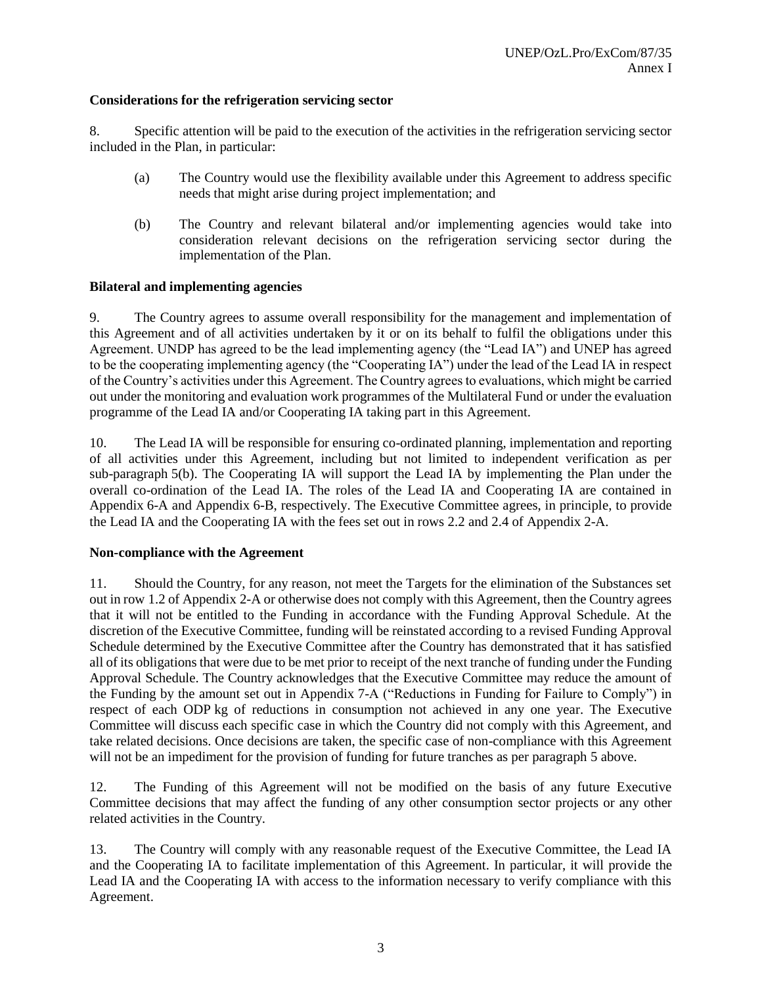## **Considerations for the refrigeration servicing sector**

8. Specific attention will be paid to the execution of the activities in the refrigeration servicing sector included in the Plan, in particular:

- (a) The Country would use the flexibility available under this Agreement to address specific needs that might arise during project implementation; and
- (b) The Country and relevant bilateral and/or implementing agencies would take into consideration relevant decisions on the refrigeration servicing sector during the implementation of the Plan.

#### **Bilateral and implementing agencies**

9. The Country agrees to assume overall responsibility for the management and implementation of this Agreement and of all activities undertaken by it or on its behalf to fulfil the obligations under this Agreement. UNDP has agreed to be the lead implementing agency (the "Lead IA") and UNEP has agreed to be the cooperating implementing agency (the "Cooperating IA") under the lead of the Lead IA in respect of the Country's activities under this Agreement. The Country agrees to evaluations, which might be carried out under the monitoring and evaluation work programmes of the Multilateral Fund or under the evaluation programme of the Lead IA and/or Cooperating IA taking part in this Agreement.

10. The Lead IA will be responsible for ensuring co-ordinated planning, implementation and reporting of all activities under this Agreement, including but not limited to independent verification as per sub-paragraph 5(b). The Cooperating IA will support the Lead IA by implementing the Plan under the overall co-ordination of the Lead IA. The roles of the Lead IA and Cooperating IA are contained in Appendix 6-A and Appendix 6-B, respectively. The Executive Committee agrees, in principle, to provide the Lead IA and the Cooperating IA with the fees set out in rows 2.2 and 2.4 of Appendix 2-A.

#### **Non-compliance with the Agreement**

11. Should the Country, for any reason, not meet the Targets for the elimination of the Substances set out in row 1.2 of Appendix 2-A or otherwise does not comply with this Agreement, then the Country agrees that it will not be entitled to the Funding in accordance with the Funding Approval Schedule. At the discretion of the Executive Committee, funding will be reinstated according to a revised Funding Approval Schedule determined by the Executive Committee after the Country has demonstrated that it has satisfied all of its obligations that were due to be met prior to receipt of the next tranche of funding under the Funding Approval Schedule. The Country acknowledges that the Executive Committee may reduce the amount of the Funding by the amount set out in Appendix 7-A ("Reductions in Funding for Failure to Comply") in respect of each ODP kg of reductions in consumption not achieved in any one year. The Executive Committee will discuss each specific case in which the Country did not comply with this Agreement, and take related decisions. Once decisions are taken, the specific case of non-compliance with this Agreement will not be an impediment for the provision of funding for future tranches as per paragraph 5 above.

12. The Funding of this Agreement will not be modified on the basis of any future Executive Committee decisions that may affect the funding of any other consumption sector projects or any other related activities in the Country.

13. The Country will comply with any reasonable request of the Executive Committee, the Lead IA and the Cooperating IA to facilitate implementation of this Agreement. In particular, it will provide the Lead IA and the Cooperating IA with access to the information necessary to verify compliance with this Agreement.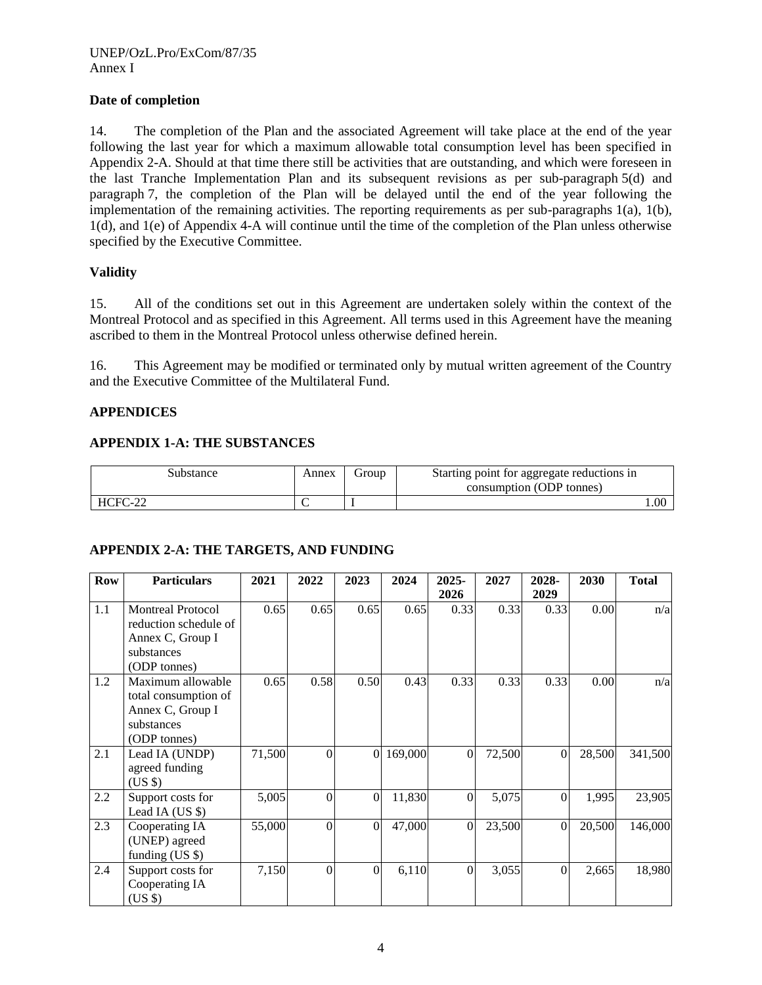## **Date of completion**

14. The completion of the Plan and the associated Agreement will take place at the end of the year following the last year for which a maximum allowable total consumption level has been specified in Appendix 2-A. Should at that time there still be activities that are outstanding, and which were foreseen in the last Tranche Implementation Plan and its subsequent revisions as per sub-paragraph 5(d) and paragraph 7, the completion of the Plan will be delayed until the end of the year following the implementation of the remaining activities. The reporting requirements as per sub-paragraphs 1(a), 1(b), 1(d), and 1(e) of Appendix 4-A will continue until the time of the completion of the Plan unless otherwise specified by the Executive Committee.

## **Validity**

15. All of the conditions set out in this Agreement are undertaken solely within the context of the Montreal Protocol and as specified in this Agreement. All terms used in this Agreement have the meaning ascribed to them in the Montreal Protocol unless otherwise defined herein.

16. This Agreement may be modified or terminated only by mutual written agreement of the Country and the Executive Committee of the Multilateral Fund.

#### **APPENDICES**

#### **APPENDIX 1-A: THE SUBSTANCES**

| Substance | Annex | droup | Starting point for aggregate reductions in<br>consumption (ODP tonnes) |
|-----------|-------|-------|------------------------------------------------------------------------|
| $HCFC-2$  |       |       | 00.1                                                                   |

#### **APPENDIX 2-A: THE TARGETS, AND FUNDING**

| <b>Row</b> | <b>Particulars</b>       | 2021   | 2022     | 2023     | 2024    | 2025-            | 2027   | 2028-    | 2030   | <b>Total</b> |
|------------|--------------------------|--------|----------|----------|---------|------------------|--------|----------|--------|--------------|
|            |                          |        |          |          |         | 2026             |        | 2029     |        |              |
| 1.1        | <b>Montreal Protocol</b> | 0.65   | 0.65     | 0.65     | 0.65    | 0.33             | 0.33   | 0.33     | 0.00   | n/a          |
|            | reduction schedule of    |        |          |          |         |                  |        |          |        |              |
|            | Annex C, Group I         |        |          |          |         |                  |        |          |        |              |
|            | substances               |        |          |          |         |                  |        |          |        |              |
|            | (ODP tonnes)             |        |          |          |         |                  |        |          |        |              |
| 1.2        | Maximum allowable        | 0.65   | 0.58     | 0.50     | 0.43    | 0.33             | 0.33   | 0.33     | 0.00   | n/a          |
|            | total consumption of     |        |          |          |         |                  |        |          |        |              |
|            | Annex C, Group I         |        |          |          |         |                  |        |          |        |              |
|            | substances               |        |          |          |         |                  |        |          |        |              |
|            | (ODP tonnes)             |        |          |          |         |                  |        |          |        |              |
| 2.1        | Lead IA (UNDP)           | 71,500 | $\Omega$ | $\Omega$ | 169,000 | $\Omega$         | 72,500 | $\Omega$ | 28,500 | 341,500      |
|            | agreed funding           |        |          |          |         |                  |        |          |        |              |
|            | $(US \$                  |        |          |          |         |                  |        |          |        |              |
| 2.2        | Support costs for        | 5,005  | $\theta$ | $\theta$ | 11,830  | $\overline{0}$   | 5,075  | $\Omega$ | 1,995  | 23,905       |
|            | Lead IA (US \$)          |        |          |          |         |                  |        |          |        |              |
| 2.3        | Cooperating IA           | 55,000 | $\Omega$ | $\Omega$ | 47,000  | $\Omega$         | 23,500 | $\Omega$ | 20,500 | 146,000      |
|            | (UNEP) agreed            |        |          |          |         |                  |        |          |        |              |
|            | funding $(US \$          |        |          |          |         |                  |        |          |        |              |
| 2.4        | Support costs for        | 7,150  | $\Omega$ | $\Omega$ | 6,110   | $\boldsymbol{0}$ | 3,055  | $\Omega$ | 2,665  | 18,980       |
|            | Cooperating IA           |        |          |          |         |                  |        |          |        |              |
|            | (US \$)                  |        |          |          |         |                  |        |          |        |              |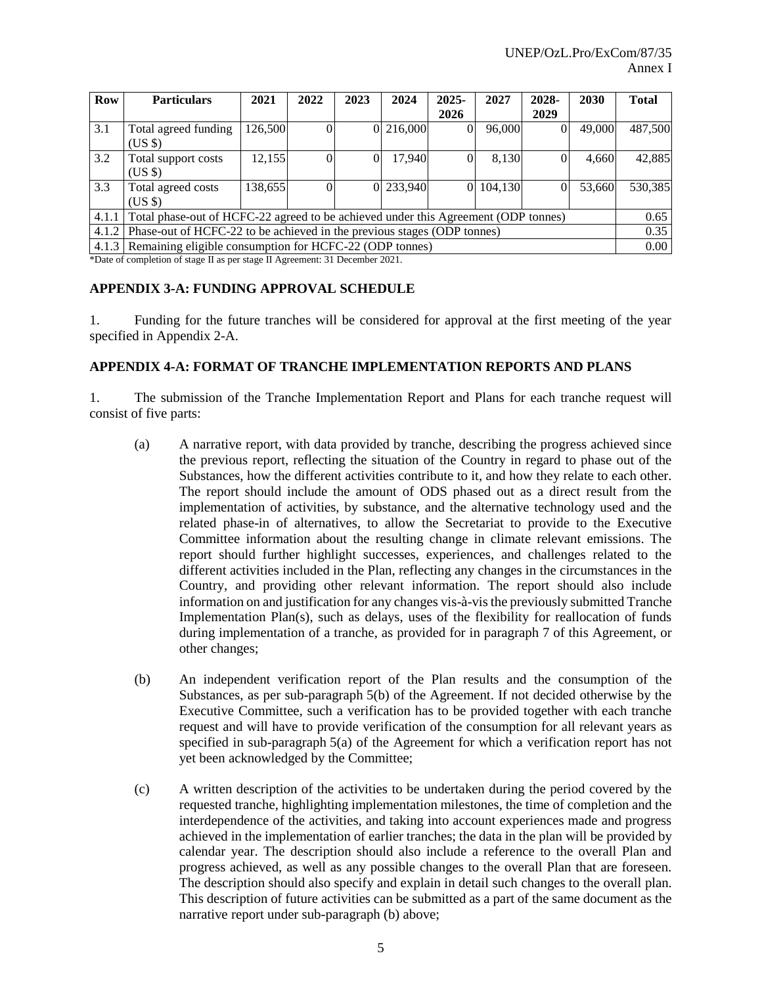| <b>Row</b> | <b>Particulars</b>                                                                 | 2021    | 2022 | 2023 | 2024      | $2025 -$       | 2027    | 2028- | 2030   | <b>Total</b> |
|------------|------------------------------------------------------------------------------------|---------|------|------|-----------|----------------|---------|-------|--------|--------------|
|            |                                                                                    |         |      |      |           | 2026           |         | 2029  |        |              |
| 3.1        | Total agreed funding                                                               | 126,500 |      |      | 0 216,000 | $\Omega$       | 96,000  |       | 49,000 | 487,500      |
|            | (US \$)                                                                            |         |      |      |           |                |         |       |        |              |
| 3.2        | Total support costs                                                                | 12,155  | 0    |      | 17.940    |                | 8.130   |       | 4.660  | 42,885       |
|            | (US \$)                                                                            |         |      |      |           |                |         |       |        |              |
| 3.3        | Total agreed costs                                                                 | 138,655 |      |      | 0 233,940 | $\overline{0}$ | 104,130 |       | 53.660 | 530,385      |
|            | $(US \$                                                                            |         |      |      |           |                |         |       |        |              |
| 4.1.1      | Total phase-out of HCFC-22 agreed to be achieved under this Agreement (ODP tonnes) |         |      |      |           |                |         |       |        | 0.65         |
| 4.1.2      | Phase-out of HCFC-22 to be achieved in the previous stages (ODP tonnes)            |         |      |      |           |                |         |       |        |              |
| 4.1.3      | Remaining eligible consumption for HCFC-22 (ODP tonnes)                            |         |      |      |           |                |         |       |        | 0.00         |

\*Date of completion of stage II as per stage II Agreement: 31 December 2021.

#### **APPENDIX 3-A: FUNDING APPROVAL SCHEDULE**

1. Funding for the future tranches will be considered for approval at the first meeting of the year specified in Appendix 2-A.

#### **APPENDIX 4-A: FORMAT OF TRANCHE IMPLEMENTATION REPORTS AND PLANS**

1. The submission of the Tranche Implementation Report and Plans for each tranche request will consist of five parts:

- (a) A narrative report, with data provided by tranche, describing the progress achieved since the previous report, reflecting the situation of the Country in regard to phase out of the Substances, how the different activities contribute to it, and how they relate to each other. The report should include the amount of ODS phased out as a direct result from the implementation of activities, by substance, and the alternative technology used and the related phase-in of alternatives, to allow the Secretariat to provide to the Executive Committee information about the resulting change in climate relevant emissions. The report should further highlight successes, experiences, and challenges related to the different activities included in the Plan, reflecting any changes in the circumstances in the Country, and providing other relevant information. The report should also include information on and justification for any changes vis-à-vis the previously submitted Tranche Implementation Plan(s), such as delays, uses of the flexibility for reallocation of funds during implementation of a tranche, as provided for in paragraph 7 of this Agreement, or other changes;
- (b) An independent verification report of the Plan results and the consumption of the Substances, as per sub-paragraph 5(b) of the Agreement. If not decided otherwise by the Executive Committee, such a verification has to be provided together with each tranche request and will have to provide verification of the consumption for all relevant years as specified in sub-paragraph 5(a) of the Agreement for which a verification report has not yet been acknowledged by the Committee;
- (c) A written description of the activities to be undertaken during the period covered by the requested tranche, highlighting implementation milestones, the time of completion and the interdependence of the activities, and taking into account experiences made and progress achieved in the implementation of earlier tranches; the data in the plan will be provided by calendar year. The description should also include a reference to the overall Plan and progress achieved, as well as any possible changes to the overall Plan that are foreseen. The description should also specify and explain in detail such changes to the overall plan. This description of future activities can be submitted as a part of the same document as the narrative report under sub-paragraph (b) above;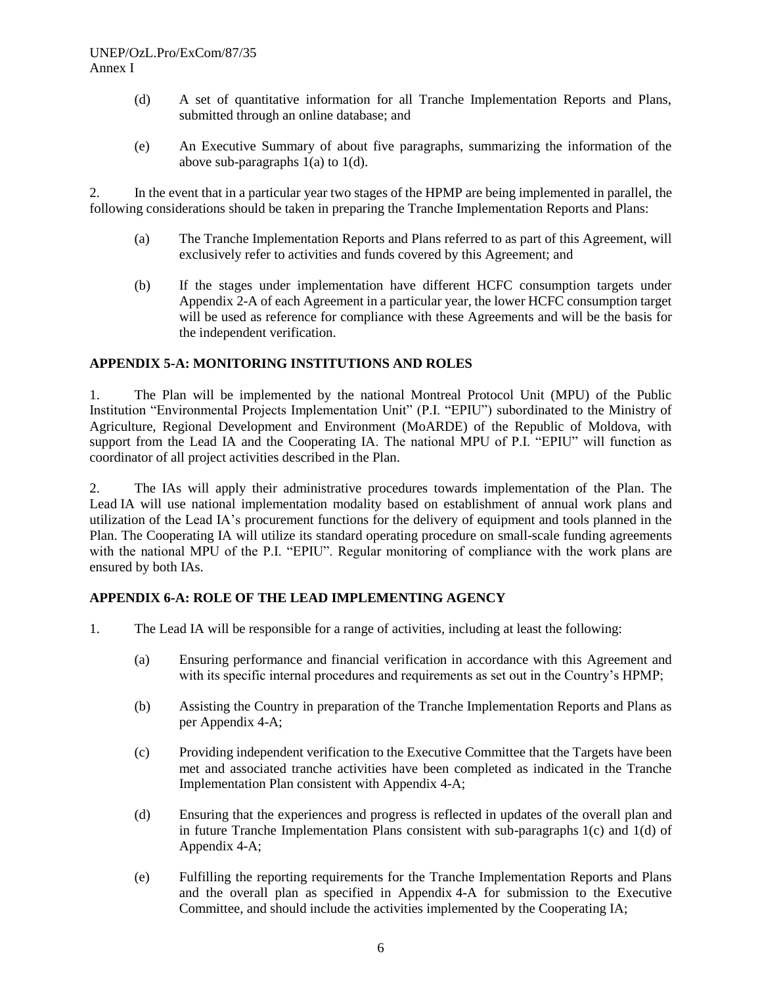- (d) A set of quantitative information for all Tranche Implementation Reports and Plans, submitted through an online database; and
- (e) An Executive Summary of about five paragraphs, summarizing the information of the above sub-paragraphs 1(a) to 1(d).

2. In the event that in a particular year two stages of the HPMP are being implemented in parallel, the following considerations should be taken in preparing the Tranche Implementation Reports and Plans:

- (a) The Tranche Implementation Reports and Plans referred to as part of this Agreement, will exclusively refer to activities and funds covered by this Agreement; and
- (b) If the stages under implementation have different HCFC consumption targets under Appendix 2-A of each Agreement in a particular year, the lower HCFC consumption target will be used as reference for compliance with these Agreements and will be the basis for the independent verification.

## **APPENDIX 5-A: MONITORING INSTITUTIONS AND ROLES**

1. The Plan will be implemented by the national Montreal Protocol Unit (MPU) of the Public Institution "Environmental Projects Implementation Unit" (P.I. "EPIU") subordinated to the Ministry of Agriculture, Regional Development and Environment (MoARDE) of the Republic of Moldova, with support from the Lead IA and the Cooperating IA. The national MPU of P.I. "EPIU" will function as coordinator of all project activities described in the Plan.

2. The IAs will apply their administrative procedures towards implementation of the Plan. The Lead IA will use national implementation modality based on establishment of annual work plans and utilization of the Lead IA's procurement functions for the delivery of equipment and tools planned in the Plan. The Cooperating IA will utilize its standard operating procedure on small-scale funding agreements with the national MPU of the P.I. "EPIU". Regular monitoring of compliance with the work plans are ensured by both IAs.

# **APPENDIX 6-A: ROLE OF THE LEAD IMPLEMENTING AGENCY**

- 1. The Lead IA will be responsible for a range of activities, including at least the following:
	- (a) Ensuring performance and financial verification in accordance with this Agreement and with its specific internal procedures and requirements as set out in the Country's HPMP;
	- (b) Assisting the Country in preparation of the Tranche Implementation Reports and Plans as per Appendix 4-A;
	- (c) Providing independent verification to the Executive Committee that the Targets have been met and associated tranche activities have been completed as indicated in the Tranche Implementation Plan consistent with Appendix 4-A;
	- (d) Ensuring that the experiences and progress is reflected in updates of the overall plan and in future Tranche Implementation Plans consistent with sub-paragraphs  $1(c)$  and  $1(d)$  of Appendix 4-A;
	- (e) Fulfilling the reporting requirements for the Tranche Implementation Reports and Plans and the overall plan as specified in Appendix 4-A for submission to the Executive Committee, and should include the activities implemented by the Cooperating IA;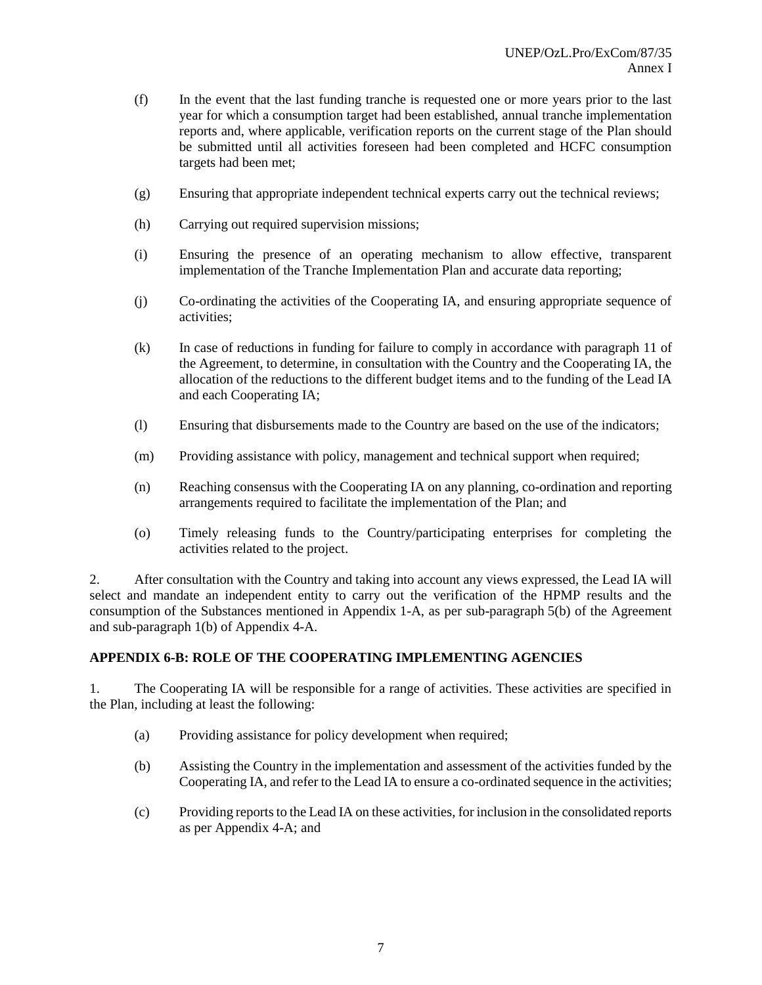- (f) In the event that the last funding tranche is requested one or more years prior to the last year for which a consumption target had been established, annual tranche implementation reports and, where applicable, verification reports on the current stage of the Plan should be submitted until all activities foreseen had been completed and HCFC consumption targets had been met;
- (g) Ensuring that appropriate independent technical experts carry out the technical reviews;
- (h) Carrying out required supervision missions;
- (i) Ensuring the presence of an operating mechanism to allow effective, transparent implementation of the Tranche Implementation Plan and accurate data reporting;
- (j) Co-ordinating the activities of the Cooperating IA, and ensuring appropriate sequence of activities;
- (k) In case of reductions in funding for failure to comply in accordance with paragraph 11 of the Agreement, to determine, in consultation with the Country and the Cooperating IA, the allocation of the reductions to the different budget items and to the funding of the Lead IA and each Cooperating IA;
- (l) Ensuring that disbursements made to the Country are based on the use of the indicators;
- (m) Providing assistance with policy, management and technical support when required;
- (n) Reaching consensus with the Cooperating IA on any planning, co-ordination and reporting arrangements required to facilitate the implementation of the Plan; and
- (o) Timely releasing funds to the Country/participating enterprises for completing the activities related to the project.

2. After consultation with the Country and taking into account any views expressed, the Lead IA will select and mandate an independent entity to carry out the verification of the HPMP results and the consumption of the Substances mentioned in Appendix 1-A, as per sub-paragraph 5(b) of the Agreement and sub-paragraph 1(b) of Appendix 4-A.

# **APPENDIX 6-B: ROLE OF THE COOPERATING IMPLEMENTING AGENCIES**

1. The Cooperating IA will be responsible for a range of activities. These activities are specified in the Plan, including at least the following:

- (a) Providing assistance for policy development when required;
- (b) Assisting the Country in the implementation and assessment of the activities funded by the Cooperating IA, and refer to the Lead IA to ensure a co-ordinated sequence in the activities;
- (c) Providing reports to the Lead IA on these activities, for inclusion in the consolidated reports as per Appendix 4-A; and